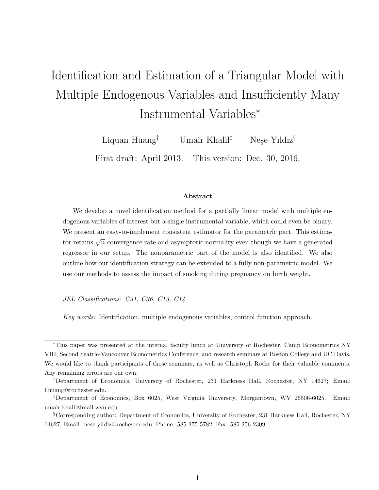# Identification and Estimation of a Triangular Model with Multiple Endogenous Variables and Insufficiently Many Instrumental Variables<sup>∗</sup>

Liquan Huang<sup>†</sup> Umair Khalil<sup>‡</sup> Nese Yıldız<sup>§</sup>

First draft: April 2013. This version: Dec. 30, 2016.

#### Abstract

We develop a novel identification method for a partially linear model with multiple endogenous variables of interest but a single instrumental variable, which could even be binary. We present an easy-to-implement consistent estimator for the parametric part. This estimator retains  $\sqrt{n}$ -convergence rate and asymptotic normality even though we have a generated regressor in our setup. The nonparametric part of the model is also identified. We also outline how our identification strategy can be extended to a fully non-parametric model. We use our methods to assess the impact of smoking during pregnancy on birth weight.

JEL Classifications: C31, C36, C13, C14

Key words: Identification, multiple endogenous variables, control function approach.

<sup>∗</sup>This paper was presented at the internal faculty lunch at University of Rochester, Camp Econometrics NY VIII, Second Seattle-Vancouver Econometrics Conference, and research seminars at Boston College and UC Davis. We would like to thank participants of those seminars, as well as Christoph Rothe for their valuable comments. Any remaining errors are our own.

<sup>†</sup>Department of Economics, University of Rochester, 231 Harkness Hall, Rochester, NY 14627; Email: l.huang@rochester.edu.

<sup>‡</sup>Department of Economics, Box 6025, West Virginia University, Morgantown, WV 26506-6025. Email: umair.khalil@mail.wvu.edu.

<sup>§</sup>Corresponding author: Department of Economics, University of Rochester, 231 Harkness Hall, Rochester, NY 14627; Email: nese.yildiz@rochester.edu; Phone: 585-275-5782; Fax: 585-256-2309.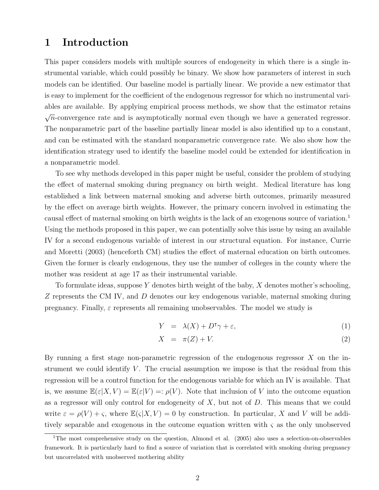### 1 Introduction

This paper considers models with multiple sources of endogeneity in which there is a single instrumental variable, which could possibly be binary. We show how parameters of interest in such models can be identified. Our baseline model is partially linear. We provide a new estimator that is easy to implement for the coefficient of the endogenous regressor for which no instrumental variables are available. By applying empirical process methods, we show that the estimator retains √  $\overline{n}$ -convergence rate and is asymptotically normal even though we have a generated regressor. The nonparametric part of the baseline partially linear model is also identified up to a constant, and can be estimated with the standard nonparametric convergence rate. We also show how the identification strategy used to identify the baseline model could be extended for identification in a nonparametric model.

To see why methods developed in this paper might be useful, consider the problem of studying the effect of maternal smoking during pregnancy on birth weight. Medical literature has long established a link between maternal smoking and adverse birth outcomes, primarily measured by the effect on average birth weights. However, the primary concern involved in estimating the causal effect of maternal smoking on birth weights is the lack of an exogenous source of variation.<sup>1</sup> Using the methods proposed in this paper, we can potentially solve this issue by using an available IV for a second endogenous variable of interest in our structural equation. For instance, Currie and Moretti (2003) (henceforth CM) studies the effect of maternal education on birth outcomes. Given the former is clearly endogenous, they use the number of colleges in the county where the mother was resident at age 17 as their instrumental variable.

To formulate ideas, suppose Y denotes birth weight of the baby,  $X$  denotes mother's schooling, Z represents the CM IV, and D denotes our key endogenous variable, maternal smoking during pregnancy. Finally,  $\varepsilon$  represents all remaining unobservables. The model we study is

$$
Y = \lambda(X) + D^{\mathsf{T}}\gamma + \varepsilon,\tag{1}
$$

$$
X = \pi(Z) + V. \tag{2}
$$

By running a first stage non-parametric regression of the endogenous regressor  $X$  on the instrument we could identify  $V$ . The crucial assumption we impose is that the residual from this regression will be a control function for the endogenous variable for which an IV is available. That is, we assume  $\mathbb{E}(\varepsilon|X, V) = \mathbb{E}(\varepsilon|V) =: \rho(V)$ . Note that inclusion of V into the outcome equation as a regressor will only control for endogeneity of  $X$ , but not of  $D$ . This means that we could write  $\varepsilon = \rho(V) + \varsigma$ , where  $\mathbb{E}(\varsigma|X, V) = 0$  by construction. In particular, X and V will be additively separable and exogenous in the outcome equation written with  $\zeta$  as the only unobserved

<sup>&</sup>lt;sup>1</sup>The most comprehensive study on the question, Almond et al. (2005) also uses a selection-on-observables framework. It is particularly hard to find a source of variation that is correlated with smoking during pregnancy but uncorrelated with unobserved mothering ability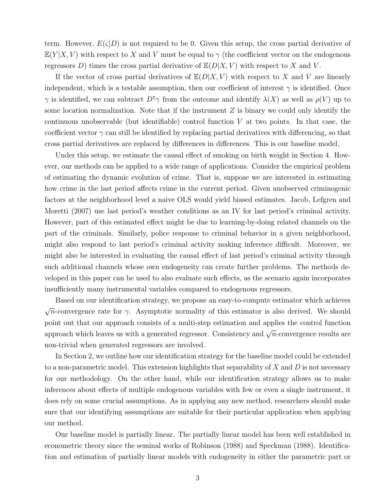term. However,  $E(\varsigma|D)$  is not required to be 0. Given this setup, the cross partial derivative of  $E(Y|X, V)$  with respect to X and V must be equal to  $\gamma$  (the coefficient vector on the endogenous regressors D) times the cross partial derivative of  $\mathbb{E}(D|X, V)$  with respect to X and V.

If the vector of cross partial derivatives of  $\mathbb{E}(D|X, V)$  with respect to X and V are linearly independent, which is a testable assumption, then our coefficient of interest  $\gamma$  is identified. Once  $\gamma$  is identified, we can subtract  $D^{\dagger}\gamma$  from the outcome and identify  $\lambda(X)$  as well as  $\rho(V)$  up to some location normalization. Note that if the instrument  $Z$  is binary we could only identify the continuous unobservable (but identifiable) control function  $V$  at two points. In that case, the coefficient vector  $\gamma$  can still be identified by replacing partial derivatives with differencing, so that cross partial derivatives are replaced by differences in differences. This is our baseline model.

Under this setup, we estimate the causal effect of smoking on birth weight in Section 4. However, our methods can be applied to a wide range of applications. Consider the empirical problem of estimating the dynamic evolution of crime. That is, suppose we are interested in estimating how crime in the last period affects crime in the current period. Given unobserved criminogenic factors at the neighborhood level a naive OLS would yield biased estimates. Jacob, Lefgren and Moretti (2007) use last period's weather conditions as an IV for last period's criminal activity. However, part of this estimated effect might be due to learning-by-doing related channels on the part of the criminals. Similarly, police response to criminal behavior in a given neighborhood, might also respond to last period's criminal activity making inference difficult. Moreover, we might also be interested in evaluating the causal effect of last period's criminal activity through such additional channels whose own endogeneity can create further problems. The methods developed in this paper can be used to also evaluate such effects, as the scenario again incorporates insufficiently many instrumental variables compared to endogenous regressors.

Based on our identification strategy, we propose an easy-to-compute estimator which achieves √  $\overline{n}$ -convergence rate for  $\gamma$ . Asymptotic normality of this estimator is also derived. We should point out that our approach consists of a multi-step estimation and applies the control function approach which leaves us with a generated regressor. Consistency and  $\sqrt{n}$ -convergence results are non-trivial when generated regressors are involved.

In Section 2, we outline how our identification strategy for the baseline model could be extended to a non-parametric model. This extension highlights that separability of  $X$  and  $D$  is not necessary for our methodology. On the other hand, while our identification strategy allows us to make inferences about effects of multiple endogenous variables with few or even a single instrument, it does rely on some crucial assumptions. As in applying any new method, researchers should make sure that our identifying assumptions are suitable for their particular application when applying our method.

Our baseline model is partially linear. The partially linear model has been well established in econometric theory since the seminal works of Robinson (1988) and Speckman (1988). Identification and estimation of partially linear models with endogeneity in either the parametric part or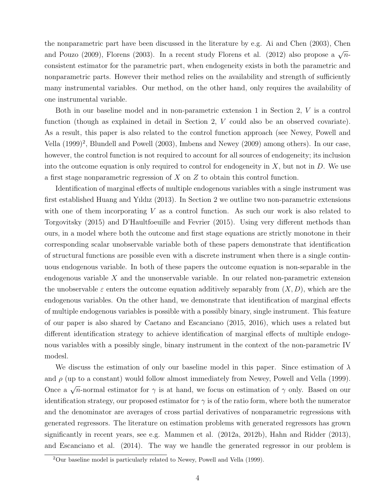the nonparametric part have been discussed in the literature by e.g. Ai and Chen (2003), Chen and Pouzo (2009), Florens (2003). In a recent study Florens et al. (2012) also propose a  $\sqrt{n}$ consistent estimator for the parametric part, when endogeneity exists in both the parametric and nonparametric parts. However their method relies on the availability and strength of sufficiently many instrumental variables. Our method, on the other hand, only requires the availability of one instrumental variable.

Both in our baseline model and in non-parametric extension 1 in Section 2, V is a control function (though as explained in detail in Section 2, V could also be an observed covariate). As a result, this paper is also related to the control function approach (see Newey, Powell and Vella  $(1999)^2$ , Blundell and Powell  $(2003)$ , Imbens and Newey  $(2009)$  among others). In our case, however, the control function is not required to account for all sources of endogeneity; its inclusion into the outcome equation is only required to control for endogeneity in  $X$ , but not in  $D$ . We use a first stage nonparametric regression of X on Z to obtain this control function.

Identification of marginal effects of multiple endogenous variables with a single instrument was first established Huang and Yıldız (2013). In Section 2 we outline two non-parametric extensions with one of them incorporating  $V$  as a control function. As such our work is also related to Torgovitsky (2015) and D'Haultfoeuille and Fevrier (2015). Using very different methods than ours, in a model where both the outcome and first stage equations are strictly monotone in their corresponding scalar unobservable variable both of these papers demonstrate that identification of structural functions are possible even with a discrete instrument when there is a single continuous endogenous variable. In both of these papers the outcome equation is non-separable in the endogenous variable X and the unonservable variable. In our related non-parametric extension the unobservable  $\varepsilon$  enters the outcome equation additively separably from  $(X, D)$ , which are the endogenous variables. On the other hand, we demonstrate that identification of marginal effects of multiple endogenous variables is possible with a possibly binary, single instrument. This feature of our paper is also shared by Caetano and Escanciano (2015, 2016), which uses a related but different identification strategy to achieve identification of marginal effects of multiple endogenous variables with a possibly single, binary instrument in the context of the non-parametric IV modesl.

We discuss the estimation of only our baseline model in this paper. Since estimation of  $\lambda$ and  $\rho$  (up to a constant) would follow almost immediately from Newey, Powell and Vella (1999). Once a  $\sqrt{n}$ -normal estimator for  $\gamma$  is at hand, we focus on estimation of  $\gamma$  only. Based on our identification strategy, our proposed estimator for  $\gamma$  is of the ratio form, where both the numerator and the denominator are averages of cross partial derivatives of nonparametric regressions with generated regressors. The literature on estimation problems with generated regressors has grown significantly in recent years, see e.g. Mammen et al. (2012a, 2012b), Hahn and Ridder (2013), and Escanciano et al. (2014). The way we handle the generated regressor in our problem is

<sup>2</sup>Our baseline model is particularly related to Newey, Powell and Vella (1999).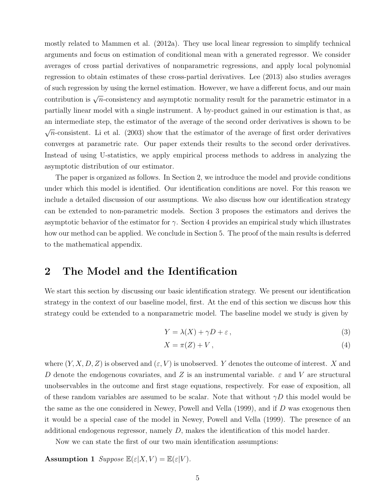mostly related to Mammen et al. (2012a). They use local linear regression to simplify technical arguments and focus on estimation of conditional mean with a generated regressor. We consider averages of cross partial derivatives of nonparametric regressions, and apply local polynomial regression to obtain estimates of these cross-partial derivatives. Lee (2013) also studies averages of such regression by using the kernel estimation. However, we have a different focus, and our main contribution is  $\sqrt{n}$ -consistency and asymptotic normality result for the parametric estimator in a partially linear model with a single instrument. A by-product gained in our estimation is that, as an intermediate step, the estimator of the average of the second order derivatives is shown to be √  $\overline{n}$ -consistent. Li et al. (2003) show that the estimator of the average of first order derivatives converges at parametric rate. Our paper extends their results to the second order derivatives. Instead of using U-statistics, we apply empirical process methods to address in analyzing the asymptotic distribution of our estimator.

The paper is organized as follows. In Section 2, we introduce the model and provide conditions under which this model is identified. Our identification conditions are novel. For this reason we include a detailed discussion of our assumptions. We also discuss how our identification strategy can be extended to non-parametric models. Section 3 proposes the estimators and derives the asymptotic behavior of the estimator for  $\gamma$ . Section 4 provides an empirical study which illustrates how our method can be applied. We conclude in Section 5. The proof of the main results is deferred to the mathematical appendix.

### 2 The Model and the Identification

We start this section by discussing our basic identification strategy. We present our identification strategy in the context of our baseline model, first. At the end of this section we discuss how this strategy could be extended to a nonparametric model. The baseline model we study is given by

$$
Y = \lambda(X) + \gamma D + \varepsilon,\tag{3}
$$

$$
X = \pi(Z) + V, \tag{4}
$$

where  $(Y, X, D, Z)$  is observed and  $(\varepsilon, V)$  is unobserved. Y denotes the outcome of interest. X and D denote the endogenous covariates, and Z is an instrumental variable.  $\varepsilon$  and V are structural unobservables in the outcome and first stage equations, respectively. For ease of exposition, all of these random variables are assumed to be scalar. Note that without  $\gamma D$  this model would be the same as the one considered in Newey, Powell and Vella (1999), and if D was exogenous then it would be a special case of the model in Newey, Powell and Vella (1999). The presence of an additional endogenous regressor, namely  $D$ , makes the identification of this model harder.

Now we can state the first of our two main identification assumptions:

**Assumption 1** Suppose  $\mathbb{E}(\varepsilon|X, V) = \mathbb{E}(\varepsilon|V)$ .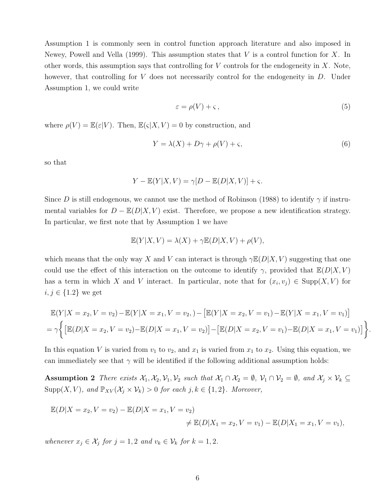Assumption 1 is commonly seen in control function approach literature and also imposed in Newey, Powell and Vella (1999). This assumption states that V is a control function for X. In other words, this assumption says that controlling for  $V$  controls for the endogeneity in  $X$ . Note, however, that controlling for V does not necessarily control for the endogeneity in D. Under Assumption 1, we could write

$$
\varepsilon = \rho(V) + \varsigma \,,\tag{5}
$$

.

where  $\rho(V) = \mathbb{E}(\varepsilon|V)$ . Then,  $\mathbb{E}(\varsigma|X, V) = 0$  by construction, and

$$
Y = \lambda(X) + D\gamma + \rho(V) + \varsigma,\tag{6}
$$

so that

$$
Y - \mathbb{E}(Y|X, V) = \gamma[D - \mathbb{E}(D|X, V)] + \varsigma.
$$

Since D is still endogenous, we cannot use the method of Robinson (1988) to identify  $\gamma$  if instrumental variables for  $D - \mathbb{E}(D|X, V)$  exist. Therefore, we propose a new identification strategy. In particular, we first note that by Assumption 1 we have

$$
\mathbb{E}(Y|X,V) = \lambda(X) + \gamma \mathbb{E}(D|X,V) + \rho(V),
$$

which means that the only way X and V can interact is through  $\gamma \mathbb{E}(D|X, V)$  suggesting that one could use the effect of this interaction on the outcome to identify  $\gamma$ , provided that  $\mathbb{E}(D|X, V)$ has a term in which X and V interact. In particular, note that for  $(x_i, v_j) \in \text{Supp}(X, V)$  for  $i, j \in \{1.2\}$  we get

$$
\mathbb{E}(Y|X = x_2, V = v_2) - \mathbb{E}(Y|X = x_1, V = v_2, ) - [\mathbb{E}(Y|X = x_2, V = v_1) - \mathbb{E}(Y|X = x_1, V = v_1)]
$$
  
=  $\gamma \Big\{ [\mathbb{E}(D|X = x_2, V = v_2) - \mathbb{E}(D|X = x_1, V = v_2)] - [\mathbb{E}(D|X = x_2, V = v_1) - \mathbb{E}(D|X = x_1, V = v_1)] \Big\}$ 

In this equation V is varied from  $v_1$  to  $v_2$ , and  $x_1$  is varied from  $x_1$  to  $x_2$ . Using this equation, we can immediately see that  $\gamma$  will be identified if the following additional assumption holds:

Assumption 2 There exists  $\mathcal{X}_1, \mathcal{X}_2, \mathcal{V}_1, \mathcal{V}_2$  such that  $\mathcal{X}_1 \cap \mathcal{X}_2 = \emptyset$ ,  $\mathcal{V}_1 \cap \mathcal{V}_2 = \emptyset$ , and  $\mathcal{X}_j \times \mathcal{V}_k \subseteq$ Supp $(X, V)$ , and  $\mathbb{P}_{XV}(\mathcal{X}_j \times \mathcal{V}_k) > 0$  for each  $j, k \in \{1, 2\}$ . Moreover,

$$
\mathbb{E}(D|X = x_2, V = v_2) - \mathbb{E}(D|X = x_1, V = v_2)
$$
  

$$
\neq \mathbb{E}(D|X_1 = x_2, V = v_1) - \mathbb{E}(D|X_1 = x_1, V = v_1),
$$

whenever  $x_j \in \mathcal{X}_j$  for  $j = 1, 2$  and  $v_k \in \mathcal{V}_k$  for  $k = 1, 2$ .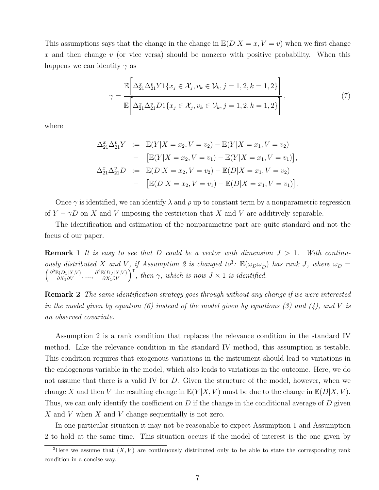This assumptions says that the change in the change in  $\mathbb{E}(D|X=x, V=y)$  when we first change x and then change v (or vice versa) should be nonzero with positive probability. When this happens we can identify  $\gamma$  as

$$
\gamma = \frac{\mathbb{E}\left[\Delta_{21}^x \Delta_{21}^v Y 1\{x_j \in \mathcal{X}_j, v_k \in \mathcal{V}_k, j = 1, 2, k = 1, 2\}\right]}{\mathbb{E}\left[\Delta_{21}^x \Delta_{21}^v D 1\{x_j \in \mathcal{X}_j, v_k \in \mathcal{V}_k, j = 1, 2, k = 1, 2\}\right]},
$$
\n(7)

where

$$
\Delta_{21}^x \Delta_{21}^v Y := \mathbb{E}(Y|X = x_2, V = v_2) - \mathbb{E}(Y|X = x_1, V = v_2)
$$
  
\n
$$
- [\mathbb{E}(Y|X = x_2, V = v_1) - \mathbb{E}(Y|X = x_1, V = v_1)],
$$
  
\n
$$
\Delta_{21}^x \Delta_{21}^v D := \mathbb{E}(D|X = x_2, V = v_2) - \mathbb{E}(D|X = x_1, V = v_2)
$$
  
\n
$$
- [\mathbb{E}(D|X = x_2, V = v_1) - \mathbb{E}(D|X = x_1, V = v_1)].
$$

Once  $\gamma$  is identified, we can identify  $\lambda$  and  $\rho$  up to constant term by a nonparametric regression of  $Y - \gamma D$  on X and V imposing the restriction that X and V are additively separable.

The identification and estimation of the nonparametric part are quite standard and not the focus of our paper.

**Remark 1** It is easy to see that D could be a vector with dimension  $J > 1$ . With continuously distributed X and V, if Assumption 2 is changed to<sup>3</sup>:  $\mathbb{E}(\omega_D \omega_D^{\intercal})$  has rank J, where  $\omega_D = \left(\frac{\partial^2 \mathbb{E}(D_1|X,V)}{\partial X_1 \partial V}, ..., \frac{\partial^2 \mathbb{E}(D_J|X,V)}{\partial X_1 \partial V}\right)^{\intercal}$ , then  $\gamma$ , which is now  $J \times 1$  is identified.

**Remark 2** The same identification strategy goes through without any change if we were interested in the model given by equation  $(6)$  instead of the model given by equations  $(3)$  and  $(4)$ , and V is an observed covariate.

Assumption 2 is a rank condition that replaces the relevance condition in the standard IV method. Like the relevance condition in the standard IV method, this assumption is testable. This condition requires that exogenous variations in the instrument should lead to variations in the endogenous variable in the model, which also leads to variations in the outcome. Here, we do not assume that there is a valid IV for D. Given the structure of the model, however, when we change X and then V the resulting change in  $\mathbb{E}(Y|X, V)$  must be due to the change in  $\mathbb{E}(D|X, V)$ . Thus, we can only identify the coefficient on  $D$  if the change in the conditional average of  $D$  given X and V when X and V change sequentially is not zero.

In one particular situation it may not be reasonable to expect Assumption 1 and Assumption 2 to hold at the same time. This situation occurs if the model of interest is the one given by

<sup>&</sup>lt;sup>3</sup>Here we assume that  $(X, V)$  are continuously distributed only to be able to state the corresponding rank condition in a concise way.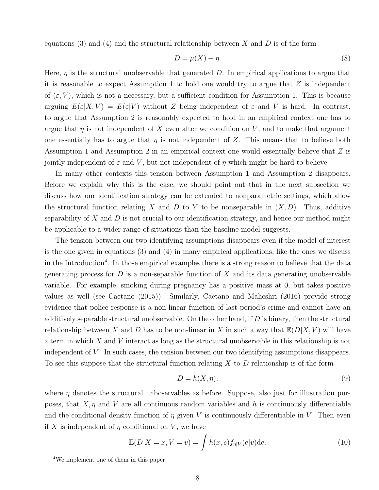equations (3) and (4) and the structural relationship between  $X$  and  $D$  is of the form

$$
D = \mu(X) + \eta. \tag{8}
$$

Here,  $\eta$  is the structural unobservable that generated D. In empirical applications to argue that it is reasonable to expect Assumption 1 to hold one would try to argue that  $Z$  is independent of  $(\varepsilon, V)$ , which is not a necessary, but a sufficient condition for Assumption 1. This is because arguing  $E(\varepsilon|X, V) = E(\varepsilon|V)$  without Z being independent of  $\varepsilon$  and V is hard. In contrast, to argue that Assumption 2 is reasonably expected to hold in an empirical context one has to argue that  $\eta$  is not independent of X even after we condition on V, and to make that argument one essentially has to argue that  $\eta$  is not independent of Z. This means that to believe both Assumption 1 and Assumption 2 in an empirical context one would essentially believe that Z is jointly independent of  $\varepsilon$  and V, but not independent of  $\eta$  which might be hard to believe.

In many other contexts this tension between Assumption 1 and Assumption 2 disappears. Before we explain why this is the case, we should point out that in the next subsection we discuss how our identification strategy can be extended to nonparametric settings, which allow the structural function relating X and D to Y to be nonseparable in  $(X, D)$ . Thus, additive separability of  $X$  and  $D$  is not crucial to our identification strategy, and hence our method might be applicable to a wider range of situations than the baseline model suggests.

The tension between our two identifying assumptions disappears even if the model of interest is the one given in equations (3) and (4) in many empirical applications, like the ones we discuss in the Introduction<sup>4</sup>. In those empirical examples there is a strong reason to believe that the data generating process for  $D$  is a non-separable function of  $X$  and its data generating unobservable variable. For example, smoking during pregnancy has a positive mass at 0, but takes positive values as well (see Caetano (2015)). Similarly, Caetano and Maheshri (2016) provide strong evidence that police response is a non-linear function of last period's crime and cannot have an additively separable structural unobservable. On the other hand, if  $D$  is binary, then the structural relationship between X and D has to be non-linear in X in such a way that  $\mathbb{E}(D|X, V)$  will have a term in which X and V interact as long as the structural unobservable in this relationship is not independent of V. In such cases, the tension between our two identifying assumptions disappears. To see this suppose that the structural function relating  $X$  to  $D$  relationship is of the form

$$
D = h(X, \eta),\tag{9}
$$

where  $\eta$  denotes the structural unboservables as before. Suppose, also just for illustration purposes, that  $X, \eta$  and V are all continuous random variables and h is continuously differentiable and the conditional density function of  $\eta$  given V is continuously differentiable in V. Then even if X is independent of  $\eta$  conditional on V, we have

$$
\mathbb{E}(D|X=x, V=v) = \int h(x, e) f_{\eta|V}(e|v) \mathrm{d}e. \tag{10}
$$

<sup>4</sup>We implement one of them in this paper.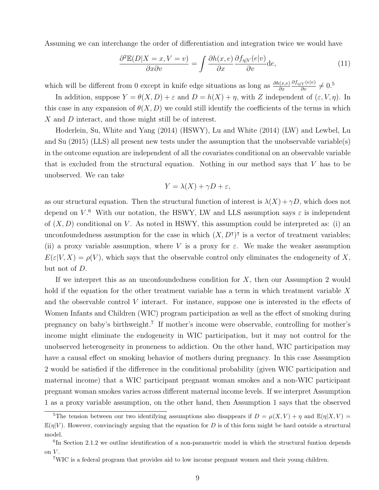Assuming we can interchange the order of differentiation and integration twice we would have

$$
\frac{\partial^2 \mathbb{E}(D|X=x, V=v)}{\partial x \partial v} = \int \frac{\partial h(x, e)}{\partial x} \frac{\partial f_{\eta|V}(e|v)}{\partial v} \mathrm{d}e,\tag{11}
$$

which will be different from 0 except in knife edge situations as long as  $\frac{\partial h(x,e)}{\partial x}$  $\frac{\partial f_{\eta|V}(e|v)}{\partial v}\neq 0.5$ 

In addition, suppose  $Y = \theta(X, D) + \varepsilon$  and  $D = h(X) + \eta$ , with Z independent of  $(\varepsilon, V, \eta)$ . In this case in any expansion of  $\theta(X, D)$  we could still identify the coefficients of the terms in which X and D interact, and those might still be of interest.

Hoderlein, Su, White and Yang (2014) (HSWY), Lu and White (2014) (LW) and Lewbel, Lu and Su (2015) (LLS) all present new tests under the assumption that the unobservable variable(s) in the outcome equation are independent of all the covariates conditional on an observable variable that is excluded from the structural equation. Nothing in our method says that V has to be unobserved. We can take

$$
Y = \lambda(X) + \gamma D + \varepsilon,
$$

as our structural equation. Then the structural function of interest is  $\lambda(X) + \gamma D$ , which does not depend on  $V^6$ . With our notation, the HSWY, LW and LLS assumption says  $\varepsilon$  is independent of  $(X, D)$  conditional on V. As noted in HSWY, this assumption could be interpreted as: (i) an unconfoundedness assumption for the case in which  $(X, D^{\dagger})^{\dagger}$  is a vector of treatment variables; (ii) a proxy variable assumption, where V is a proxy for  $\varepsilon$ . We make the weaker assumption  $E(\varepsilon|V, X) = \rho(V)$ , which says that the observable control only eliminates the endogeneity of X, but not of D.

If we interpret this as an unconfoundedness condition for  $X$ , then our Assumption 2 would hold if the equation for the other treatment variable has a term in which treatment variable X and the observable control V interact. For instance, suppose one is interested in the effects of Women Infants and Children (WIC) program participation as well as the effect of smoking during pregnancy on baby's birthweight.<sup>7</sup> If mother's income were observable, controlling for mother's income might eliminate the endogeneity in WIC participation, but it may not control for the unobserved heterogeneity in proneness to addiction. On the other hand, WIC participation may have a causal effect on smoking behavior of mothers during pregnancy. In this case Assumption 2 would be satisfied if the difference in the conditional probability (given WIC participation and maternal income) that a WIC participant pregnant woman smokes and a non-WIC participant pregnant woman smokes varies across different maternal income levels. If we interpret Assumption 1 as a proxy variable assumption, on the other hand, then Assumption 1 says that the observed

<sup>&</sup>lt;sup>5</sup>The tension between our two identifying assumptions also disappears if  $D = \mu(X, V) + \eta$  and  $\mathbb{E}(\eta|X, V) =$  $\mathbb{E}(\eta|V)$ . However, convincingly arguing that the equation for D is of this form might be hard outside a structural model.

<sup>6</sup> In Section 2.1.2 we outline identification of a non-parametric model in which the structural funtion depends on  $V$ .

<sup>7</sup>WIC is a federal program that provides aid to low income pregnant women and their young children.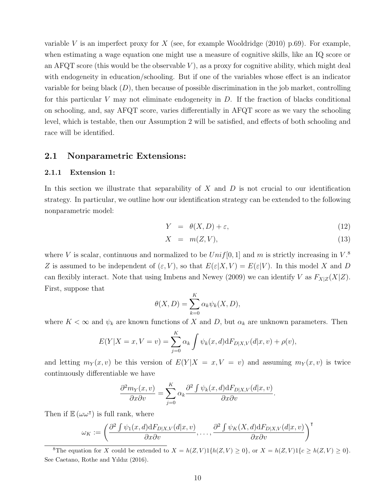variable V is an imperfect proxy for X (see, for example Wooldridge  $(2010)$  p.69). For example, when estimating a wage equation one might use a measure of cognitive skills, like an IQ score or an AFQT score (this would be the observable  $V$ ), as a proxy for cognitive ability, which might deal with endogeneity in education/schooling. But if one of the variables whose effect is an indicator variable for being black  $(D)$ , then because of possible discrimination in the job market, controlling for this particular V may not eliminate endogeneity in  $D$ . If the fraction of blacks conditional on schooling, and, say AFQT score, varies differentially in AFQT score as we vary the schooling level, which is testable, then our Assumption 2 will be satisfied, and effects of both schooling and race will be identified.

#### 2.1 Nonparametric Extensions:

#### 2.1.1 Extension 1:

In this section we illustrate that separability of  $X$  and  $D$  is not crucial to our identification strategy. In particular, we outline how our identification strategy can be extended to the following nonparametric model:

$$
Y = \theta(X, D) + \varepsilon,\tag{12}
$$

$$
X = m(Z, V), \tag{13}
$$

where V is scalar, continuous and normalized to be  $Unif[0,1]$  and m is strictly increasing in  $V^8$ . Z is assumed to be independent of  $(\varepsilon, V)$ , so that  $E(\varepsilon|X, V) = E(\varepsilon|V)$ . In this model X and D can flexibly interact. Note that using Imbens and Newey (2009) we can identify V as  $F_{X|Z}(X|Z)$ . First, suppose that

$$
\theta(X,D) = \sum_{k=0}^{K} \alpha_k \psi_k(X,D),
$$

where  $K < \infty$  and  $\psi_k$  are known functions of X and D, but  $\alpha_k$  are unknown parameters. Then

$$
E(Y|X = x, V = v) = \sum_{j=0}^{K} \alpha_k \int \psi_k(x, d) dF_{D|X,V}(d|x, v) + \rho(v),
$$

and letting  $m_Y(x, v)$  be this version of  $E(Y|X = x, V = v)$  and assuming  $m_Y(x, v)$  is twice continuously differentiable we have

$$
\frac{\partial^2 m_Y(x,v)}{\partial x \partial v} = \sum_{j=0}^K \alpha_k \frac{\partial^2 \int \psi_k(x,d) dF_{D|X,V}(d|x,v)}{\partial x \partial v}.
$$

Then if  $\mathbb{E}(\omega \omega^{\dagger})$  is full rank, where

$$
\omega_K := \left( \frac{\partial^2 \int \psi_1(x, d) dF_{D|X,V}(d|x, v)}{\partial x \partial v}, \dots, \frac{\partial^2 \int \psi_K(X, d) dF_{D|X,V}(d|x, v)}{\partial x \partial v} \right)^{\mathsf{T}}
$$

<sup>8</sup>The equation for X could be extended to  $X = h(Z, V)1\{h(Z, V) \ge 0\}$ , or  $X = h(Z, V)1\{c \ge h(Z, V) \ge 0\}$ . See Caetano, Rothe and Yıldız (2016).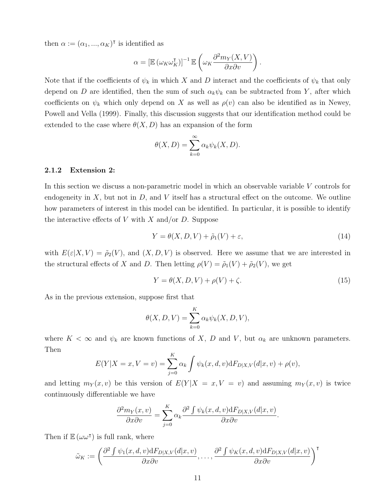then  $\alpha := (\alpha_1, ..., \alpha_K)^\dagger$  is identified as

$$
\alpha = \left[\mathbb{E} \left( \omega_K \omega_K^{\mathsf{T}} \right)\right]^{-1} \mathbb{E} \left( \omega_K \frac{\partial^2 m_Y(X, V)}{\partial x \partial v} \right).
$$

Note that if the coefficients of  $\psi_k$  in which X and D interact and the coefficients of  $\psi_k$  that only depend on D are identified, then the sum of such  $\alpha_k \psi_k$  can be subtracted from Y, after which coefficients on  $\psi_k$  which only depend on X as well as  $\rho(v)$  can also be identified as in Newey, Powell and Vella (1999). Finally, this discussion suggests that our identification method could be extended to the case where  $\theta(X, D)$  has an expansion of the form

$$
\theta(X,D) = \sum_{k=0}^{\infty} \alpha_k \psi_k(X,D).
$$

#### 2.1.2 Extension 2:

In this section we discuss a non-parametric model in which an observable variable V controls for endogeneity in  $X$ , but not in  $D$ , and  $V$  itself has a structural effect on the outcome. We outline how parameters of interest in this model can be identified. In particular, it is possible to identify the interactive effects of V with X and/or D. Suppose

$$
Y = \theta(X, D, V) + \tilde{\rho}_1(V) + \varepsilon,\tag{14}
$$

with  $E(\varepsilon|X, V) = \tilde{\rho}_2(V)$ , and  $(X, D, V)$  is observed. Here we assume that we are interested in the structural effects of X and D. Then letting  $\rho(V) = \tilde{\rho}_1(V) + \tilde{\rho}_2(V)$ , we get

$$
Y = \theta(X, D, V) + \rho(V) + \zeta. \tag{15}
$$

As in the previous extension, suppose first that

$$
\theta(X, D, V) = \sum_{k=0}^{K} \alpha_k \psi_k(X, D, V),
$$

where  $K < \infty$  and  $\psi_k$  are known functions of X, D and V, but  $\alpha_k$  are unknown parameters. Then

$$
E(Y|X = x, V = v) = \sum_{j=0}^{K} \alpha_k \int \psi_k(x, d, v) dF_{D|X,V}(d|x, v) + \rho(v),
$$

and letting  $m_Y(x, v)$  be this version of  $E(Y|X = x, V = v)$  and assuming  $m_Y(x, v)$  is twice continuously differentiable we have

$$
\frac{\partial^2 m_Y(x,v)}{\partial x \partial v} = \sum_{j=0}^K \alpha_k \frac{\partial^2 \int \psi_k(x,d,v) \mathrm{d}F_{D|X,V}(d|x,v)}{\partial x \partial v}.
$$

Then if  $\mathbb{E}(\omega \omega^{\dagger})$  is full rank, where

$$
\tilde{\omega}_K := \left( \frac{\partial^2 \int \psi_1(x, d, v) dF_{D|X,V}(d|x, v)}{\partial x \partial v}, \dots, \frac{\partial^2 \int \psi_K(x, d, v) dF_{D|X,V}(d|x, v)}{\partial x \partial v} \right)^{\mathsf{T}}
$$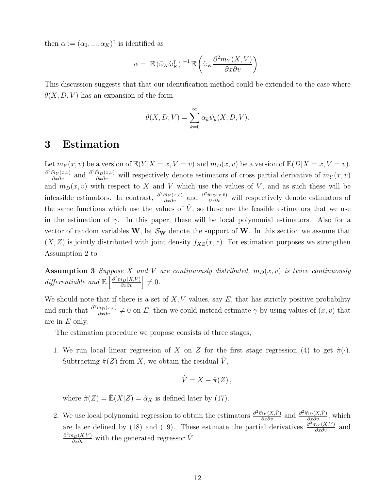then  $\alpha := (\alpha_1, ..., \alpha_K)^\dagger$  is identified as

$$
\alpha = \left[ \mathbb{E} \left( \tilde{\omega}_K \tilde{\omega}_K^{\mathsf{T}} \right) \right]^{-1} \mathbb{E} \left( \tilde{\omega}_K \frac{\partial^2 m_Y(X, V)}{\partial x \partial v} \right)
$$

.

This discussion suggests that that our identification method could be extended to the case where  $\theta(X, D, V)$  has an expansion of the form

$$
\theta(X, D, V) = \sum_{k=0}^{\infty} \alpha_k \psi_k(X, D, V).
$$

### 3 Estimation

Let  $m_Y(x, v)$  be a version of  $\mathbb{E}(Y | X = x, V = v)$  and  $m_D(x, v)$  be a version of  $\mathbb{E}(D | X = x, V = v)$ .  $\frac{\partial^2 \hat{m}_Y(x,v)}{\partial x \partial v}$  and  $\frac{\partial^2 \hat{m}_D(x,v)}{\partial x \partial v}$  will respectively denote estimators of cross partial derivative of  $m_Y(x,v)$ and  $m_D(x, v)$  with respect to X and V which use the values of V, and as such these will be infeasible estimators. In contrast,  $\frac{\partial^2 \hat{m}_Y(x,\hat{v})}{\partial x \partial v}$  and  $\frac{\partial^2 \hat{m}_D(x,\hat{v})}{\partial x \partial v}$  will respectively denote estimators of the same functions which use the values of  $\hat{V}$ , so these are the feasible estimators that we use in the estimation of  $\gamma$ . In this paper, these will be local polynomial estimators. Also for a vector of random variables W, let  $\mathcal{S}_{w}$  denote the support of W. In this section we assume that  $(X, Z)$  is jointly distributed with joint density  $f_{XZ}(x, z)$ . For estimation purposes we strengthen Assumption 2 to

**Assumption 3** Suppose X and V are continuously distributed,  $m_D(x, v)$  is twice continuously differentiable and  $\mathbb{E}\left[\frac{\partial^2 m_D(X,V)}{\partial x \partial v}\right] \neq 0$ .

We should note that if there is a set of  $X, V$  values, say  $E$ , that has strictly positive probability and such that  $\frac{\partial^2 m_D(x,v)}{\partial x \partial v} \neq 0$  on E, then we could instead estimate  $\gamma$  by using values of  $(x, v)$  that are in E only.

The estimation procedure we propose consists of three stages,

1. We run local linear regression of X on Z for the first stage regression (4) to get  $\hat{\pi}(\cdot)$ . Subtracting  $\hat{\pi}(Z)$  from X, we obtain the residual V,

$$
\hat{V} = X - \hat{\pi}(Z) ,
$$

where  $\hat{\pi}(Z) = \mathbb{\hat{E}}(X|Z) = \hat{\alpha}_X$  is defined later by (17).

2. We use local polynomial regression to obtain the estimators  $\frac{\partial^2 \hat{m}_Y(X, \hat{V})}{\partial x \partial v}$  and  $\frac{\partial^2 \hat{m}_D(X, \hat{V})}{\partial x \partial v}$ , which are later defined by (18) and (19). These estimate the partial derivatives  $\frac{\partial^2 m_Y(X,V)}{\partial x \partial v}$  and  $\frac{\partial^2 m_D(X,V)}{\partial x \partial v}$  with the generated regressor  $\hat{V}$ .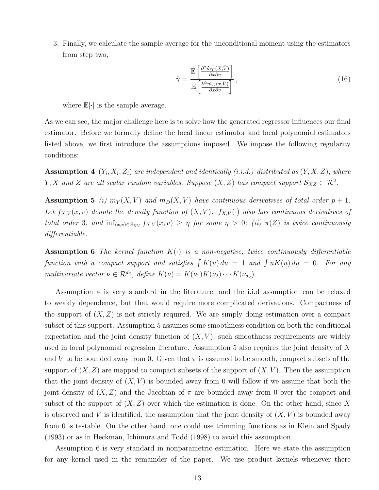3. Finally, we calculate the sample average for the unconditional moment using the estimators from step two,

$$
\hat{\gamma} = \frac{\hat{\mathbb{E}}\left[\frac{\partial^2 \hat{m}_Y(X,\hat{V})}{\partial x \partial v}\right]}{\hat{\mathbb{E}}\left[\frac{\partial^2 \hat{m}_D(x,\hat{V})}{\partial x \partial v}\right]},
$$
\n(16)

where  $\mathbb{E}[\cdot]$  is the sample average.

As we can see, the major challenge here is to solve how the generated regressor influences our final estimator. Before we formally define the local linear estimator and local polynomial estimators listed above, we first introduce the assumptions imposed. We impose the following regularity conditions:

**Assumption 4**  $(Y_i, X_i, Z_i)$  are independent and identically (i.i.d.) distributed as  $(Y, X, Z)$ , where Y, X and Z are all scalar random variables. Suppose  $(X, Z)$  has compact support  $\mathcal{S}_{XZ} \subset \mathcal{R}^2$ .

**Assumption 5** (i)  $m_Y(X, V)$  and  $m_Y(X, V)$  have continuous derivatives of total order  $p + 1$ . Let  $f_{X,V}(x, v)$  denote the density function of  $(X, V)$ .  $f_{X,V}(.)$  also has continuous derivatives of total order 3, and  $\inf_{(x,v)\in S_{XY}} f_{X,V}(x,v) \geq \eta$  for some  $\eta > 0$ ; (ii)  $\pi(Z)$  is twice continuously differentiable.

**Assumption 6** The kernel function  $K(\cdot)$  is a non-negative, twice continuously differentiable function with a compact support and satisfies  $\int K(u) du = 1$  and  $\int uK(u) du = 0$ . For any multivariate vector  $\nu \in \mathcal{R}^{d_{\nu}}$ , define  $K(\nu) = K(\nu_1)K(\nu_2) \cdots K(\nu_{d_{\nu}})$ .

Assumption 4 is very standard in the literature, and the i.i.d assumption can be relaxed to weakly dependence, but that would require more complicated derivations. Compactness of the support of  $(X, Z)$  is not strictly required. We are simply doing estimation over a compact subset of this support. Assumption 5 assumes some smoothness condition on both the conditional expectation and the joint density function of  $(X, V)$ ; such smoothness requirements are widely used in local polynomial regression literature. Assumption 5 also requires the joint density of X and V to be bounded away from 0. Given that  $\pi$  is assumed to be smooth, compact subsets of the support of  $(X, Z)$  are mapped to compact subsets of the support of  $(X, V)$ . Then the assumption that the joint density of  $(X, V)$  is bounded away from 0 will follow if we assume that both the joint density of  $(X, Z)$  and the Jacobian of  $\pi$  are bounded away from 0 over the compact and subset of the support of  $(X, Z)$  over which the estimation is done. On the other hand, since X is observed and V is identified, the assumption that the joint density of  $(X, V)$  is bounded away from 0 is testable. On the other hand, one could use trimming functions as in Klein and Spady (1993) or as in Heckman, Ichimura and Todd (1998) to avoid this assumption.

Assumption 6 is very standard in nonparametric estimation. Here we state the assumption for any kernel used in the remainder of the paper. We use product kernels whenever there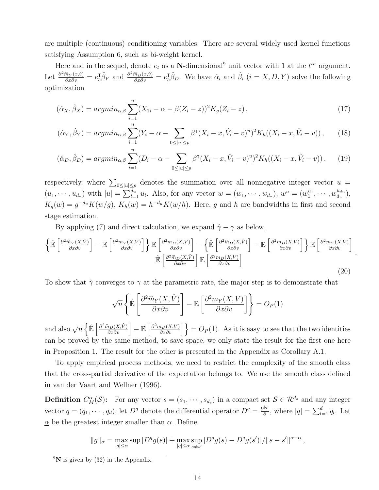are multiple (continuous) conditioning variables. There are several widely used kernel functions satisfying Assumption 6, such as bi-weight kernel.

Here and in the sequel, denote  $e_t$  as a N-dimensional<sup>9</sup> unit vector with 1 at the  $t^{th}$  argument. Let  $\frac{\partial^2 \hat{m}_Y(x,\hat{v})}{\partial x \partial v} = e_{\bar{b}}^{\bar{b}} \hat{\beta}_Y$  and  $\frac{\partial^2 \hat{m}_D(x,\hat{v})}{\partial x \partial v} = e_{\bar{b}}^{\bar{b}} \hat{\beta}_D$ . We have  $\hat{\alpha}_i$  and  $\hat{\beta}_i$   $(i = X, D, Y)$  solve the following optimization

$$
(\hat{\alpha}_X, \hat{\beta}_X) = \operatorname{argmin}_{\alpha, \beta} \sum_{i=1}^n (X_{1i} - \alpha - \beta(Z_i - z))^2 K_g(Z_i - z), \tag{17}
$$

$$
(\hat{\alpha}_Y, \hat{\beta}_Y) = \operatorname{argmin}_{\alpha, \beta} \sum_{i=1}^n (Y_i - \alpha - \sum_{0 \le |u| \le p} \beta^{\mathsf{T}} (X_i - x, \hat{V}_i - v)^u)^2 K_h((X_i - x, \hat{V}_i - v)), \tag{18}
$$

$$
(\hat{\alpha}_D, \hat{\beta}_D) = \operatorname{argmin}_{\alpha, \beta} \sum_{i=1}^n (D_i - \alpha - \sum_{0 \le |u| \le p} \beta^{\mathsf{T}} (X_i - x, \hat{V}_i - v)^u)^2 K_h((X_i - x, \hat{V}_i - v)). \tag{19}
$$

respectively, where  $\sum_{0 \leq |u| \leq p}$  denotes the summation over all nonnegative integer vector  $u =$  $(u_1, \dots, u_{d_u})$  with  $|u| = \sum_{l=1}^{d_u} u_l$ . Also, for any vector  $w = (w_1, \dots, w_{d_u}), w^u = (w_1^{u_1}, \dots, w_{d_u}^{u_{d_u}})$  $\frac{u_{du}}{d_u}\Big),$  $K_g(w) = g^{-d_u} K(w/g)$ ,  $K_h(w) = h^{-d_u} K(w/h)$ . Here, g and h are bandwidths in first and second stage estimation.

By applying (7) and direct calculation, we expand  $\hat{\gamma} - \gamma$  as below,

$$
\frac{\left\{\hat{\mathbb{E}}\left[\frac{\partial^2 \hat{m}_Y(X,\hat{V})}{\partial x \partial v}\right] - \mathbb{E}\left[\frac{\partial^2 m_Y(X,V)}{\partial x \partial v}\right]\right\}\mathbb{E}\left[\frac{\partial^2 m_D(X,V)}{\partial x \partial v}\right] - \left\{\hat{\mathbb{E}}\left[\frac{\partial^2 \hat{m}_D(X,\hat{V})}{\partial x \partial v}\right] - \mathbb{E}\left[\frac{\partial^2 m_D(X,V)}{\partial x \partial v}\right]\right\}\mathbb{E}\left[\frac{\partial^2 m_Y(X,V)}{\partial x \partial v}\right]}{\hat{\mathbb{E}}\left[\frac{\partial^2 \hat{m}_D(X,\hat{V})}{\partial x \partial v}\right]\mathbb{E}\left[\frac{\partial^2 m_D(X,V)}{\partial x \partial v}\right]}.
$$
\n(20)

To show that  $\hat{\gamma}$  converges to  $\gamma$  at the parametric rate, the major step is to demonstrate that

$$
\sqrt{n}\left\{\hat{\mathbb{E}}\left[\frac{\partial^2 \hat{m}_Y(X,\hat{V})}{\partial x \partial v}\right] - \mathbb{E}\left[\frac{\partial^2 m_Y(X,V)}{\partial x \partial v}\right]\right\} = O_P(1)
$$

and also  $\sqrt{n} \left\{ \mathbb{\hat{E}} \left[ \frac{\partial^2 \hat{m}_D(X, \hat{V})}{\partial x \partial v} \right] - \mathbb{E} \left[ \frac{\partial^2 m_D(X, V)}{\partial x \partial v} \right] \right\} = O_P(1)$ . As it is easy to see that the two identities can be proved by the same method, to save space, we only state the result for the first one here in Proposition 1. The result for the other is presented in the Appendix as Corollary A.1.

To apply empirical process methods, we need to restrict the complexity of the smooth class that the cross-partial derivative of the expectation belongs to. We use the smooth class defined in van der Vaart and Wellner (1996).

**Definition**  $C_M^{\alpha}(\mathcal{S})$ : For any vector  $s = (s_1, \dots, s_{d_s})$  in a compact set  $\mathcal{S} \in \mathcal{R}^{d_s}$  and any integer vector  $q = (q_1, \dots, q_d)$ , let  $D^q$  denote the differential operator  $D^q = \frac{\partial^{|q|}}{\partial q^q}$  $\frac{d|q|}{\partial}$ , where  $|q| = \sum_{l=1}^d q_l$ . Let  $\alpha$  be the greatest integer smaller than  $\alpha$ . Define

$$
||g||_{\alpha} = \max_{|q| \leq \alpha} \sup |D^q g(s)| + \max_{|q| \leq \alpha} \sup_{s \neq s'} |D^q g(s) - D^q g(s')| / ||s - s'||^{\alpha - \alpha},
$$

 $^{9}N$  is given by (32) in the Appendix.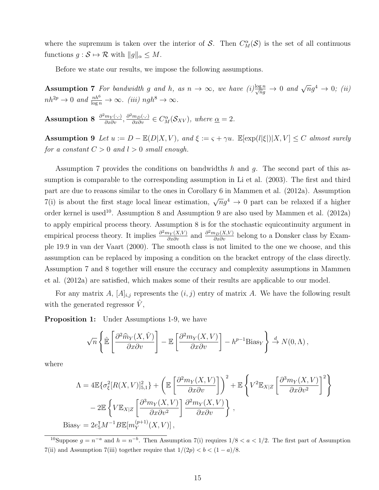where the supremum is taken over the interior of S. Then  $C_M^{\alpha}(\mathcal{S})$  is the set of all continuous functions  $g : \mathcal{S} \mapsto \mathcal{R}$  with  $||g||_{\alpha} \leq M$ .

Before we state our results, we impose the following assumptions.

Assumption 7 For bandwidth g and h, as  $n \to \infty$ , we have  $(i)_{\sqrt{n}g}^{\log n} \to 0$  and  $\sqrt{n}g^4 \to 0$ ; (ii)  $nh^{2p} \to 0$  and  $\frac{nh^6}{\log n} \to \infty$ . (iii)  $ngh^8 \to \infty$ .

Assumption 8  $\frac{\partial^2 m_Y(\cdot,\cdot)}{\partial x \partial v}, \frac{\partial^2 m_D(\cdot,\cdot)}{\partial x \partial v} \in C_M^{\alpha}(\mathcal{S}_{XV}),$  where  $\underline{\alpha} = 2$ .

Assumption 9 Let  $u := D - \mathbb{E}(D|X, V)$ , and  $\xi := \varsigma + \gamma u$ .  $\mathbb{E}[\exp(l|\xi|)|X, V] \leq C$  almost surely for a constant  $C > 0$  and  $l > 0$  small enough.

Assumption 7 provides the conditions on bandwidths h and q. The second part of this assumption is comparable to the corresponding assumption in Li et al. (2003). The first and third part are due to reasons similar to the ones in Corollary 6 in Mammen et al. (2012a). Assumption 7(i) is about the first stage local linear estimation,  $\sqrt{n}g^4 \to 0$  part can be relaxed if a higher order kernel is used<sup>10</sup>. Assumption 8 and Assumption 9 are also used by Mammen et al.  $(2012a)$ to apply empirical process theory. Assumption 8 is for the stochastic equicontinuity argument in empirical process theory. It implies  $\frac{\partial^2 m_Y(X,V)}{\partial x \partial y}$  and  $\frac{\partial^2 m_D(X,V)}{\partial x \partial y}$  belong to a Donsker class by Example 19.9 in van der Vaart (2000). The smooth class is not limited to the one we choose, and this assumption can be replaced by imposing a condition on the bracket entropy of the class directly. Assumption 7 and 8 together will ensure the cccuracy and complexity assumptions in Mammen et al. (2012a) are satisfied, which makes some of their results are applicable to our model.

For any matrix A,  $[A]_{i,j}$  represents the  $(i, j)$  entry of matrix A. We have the following result with the generated regressor  $\hat{V}$ ,

Proposition 1: Under Assumptions 1-9, we have

$$
\sqrt{n}\left\{\hat{\mathbb{E}}\left[\frac{\partial^2 \widehat{m}_Y(X,\hat{V})}{\partial x \partial v}\right] - \mathbb{E}\left[\frac{\partial^2 m_Y(X,V)}{\partial x \partial v}\right] - h^{p-1} \text{Bias}_Y\right\} \stackrel{d}{\to} N(0,\Lambda),
$$

where

$$
\Lambda = 4\mathbb{E}\{\sigma_{\xi}^{2}[R(X,V)]_{5,1}^{2}\} + \left(\mathbb{E}\left[\frac{\partial^{2}m_{Y}(X,V)}{\partial x\partial v}\right]\right)^{2} + \mathbb{E}\left\{V^{2}\mathbb{E}_{X|Z}\left[\frac{\partial^{3}m_{Y}(X,V)}{\partial x\partial v^{2}}\right]^{2}\right\}
$$

$$
-2\mathbb{E}\left\{V\mathbb{E}_{X|Z}\left[\frac{\partial^{3}m_{Y}(X,V)}{\partial x\partial v^{2}}\right]\frac{\partial^{2}m_{Y}(X,V)}{\partial x\partial v}\right\},\
$$

$$
\text{Bias}_{Y} = 2e_{5}^{T}M^{-1}B\mathbb{E}[m_{Y}^{(p+1)}(X,V)],
$$

<sup>10</sup>Suppose  $g = n^{-a}$  and  $h = n^{-b}$ . Then Assumption 7(i) requires  $1/8 < a < 1/2$ . The first part of Assumption 7(ii) and Assumption 7(iii) together require that  $1/(2p) < b < (1-a)/8$ .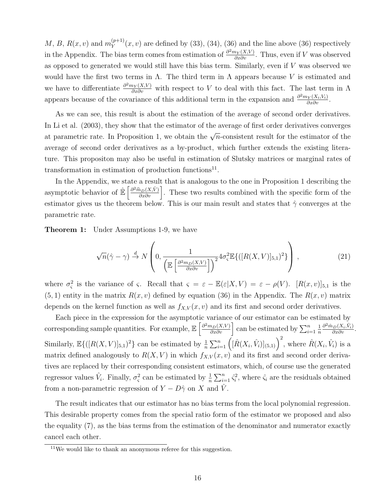$M, B, R(x, v)$  and  $m_Y^{(p+1)}$  $\mathcal{Y}_{Y}^{(p+1)}(x,v)$  are defined by (33), (34), (36) and the line above (36) respectively in the Appendix. The bias term comes from estimation of  $\frac{\partial^2 m_Y(X,V)}{\partial x \partial v}$ . Thus, even if V was observed as opposed to generated we would still have this bias term. Similarly, even if V was observed we would have the first two terms in  $\Lambda$ . The third term in  $\Lambda$  appears because V is estimated and we have to differentiate  $\frac{\partial^2 m_Y(X,V)}{\partial x \partial y}$  with respect to V to deal with this fact. The last term in  $\Lambda$ appears because of the covariance of this additional term in the expansion and  $\frac{\partial^2 m_Y(X_i, V_i)}{\partial x \partial v}$ .

As we can see, this result is about the estimation of the average of second order derivatives. In Li et al. (2003), they show that the estimator of the average of first order derivatives converges at parametric rate. In Proposition 1, we obtain the  $\sqrt{n}$ -consistent result for the estimator of the average of second order derivatives as a by-product, which further extends the existing literature. This propositon may also be useful in estimation of Slutsky matrices or marginal rates of transformation in estimation of production functions<sup>11</sup>.

In the Appendix, we state a result that is analogous to the one in Proposition 1 describing the asymptotic behavior of  $\mathbb{E}\left[\frac{\partial^2 \hat{m}_D(X,\hat{V})}{\partial x \partial v}\right]$ . These two results combined with the specific form of the estimator gives us the theorem below. This is our main result and states that  $\hat{\gamma}$  converges at the parametric rate.

**Theorem 1:** Under Assumptions 1-9, we have

$$
\sqrt{n}(\hat{\gamma} - \gamma) \stackrel{d}{\rightarrow} N\left(0, \frac{1}{\left(\mathbb{E}\left[\frac{\partial^2 m_D(X, V)}{\partial x \partial v}\right]\right)^2} 4\sigma_s^2 \mathbb{E}\{([R(X, V)]_{5,1})^2\}\right),\tag{21}
$$

where  $\sigma_{\varsigma}^2$  is the variance of  $\varsigma$ . Recall that  $\varsigma = \varepsilon - \mathbb{E}(\varepsilon | X, V) = \varepsilon - \rho(V)$ .  $[R(x, v)]_{5,1}$  is the  $(5, 1)$  entity in the matrix  $R(x, v)$  defined by equation (36) in the Appendix. The  $R(x, v)$  matrix depends on the kernel function as well as  $f_{X,V}(x, v)$  and its first and second order derivatives.

Each piece in the expression for the asymptotic variance of our estimator can be estimated by corresponding sample quantities. For example,  $\mathbb{E}\left[\frac{\partial^2 m_D(X,V)}{\partial x \partial v}\right]$  can be estimated by  $\sum_{i=1}^n$ 1 n  $\frac{\partial^2 \hat{m}_D(X_i, \hat{V}_i)}{\partial x \partial v}$ . Similarly,  $\mathbb{E}\{([R(X,V)]_{5,1})^2\}$  can be estimated by  $\frac{1}{n}\sum_{i=1}^n\left(\hat{[R(X_i,\hat{V}_i)]_{(5,1)}}\right)^2$ , where  $\hat{R}(X_i,\hat{V}_i)$  is a matrix defined analogously to  $R(X, V)$  in which  $f_{X,V}(x, v)$  and its first and second order derivatives are replaced by their corresponding consistent estimators, which, of course use the generated regressor values  $\hat{V}_i$ . Finally,  $\sigma_{\varsigma}^2$  can be estimated by  $\frac{1}{n}\sum_{i=1}^n \hat{\varsigma}_i^2$ , where  $\hat{\varsigma}_i$  are the residuals obtained from a non-parametric regression of  $Y - D\hat{\gamma}$  on X and  $\hat{V}$ .

The result indicates that our estimator has no bias terms from the local polynomial regression. This desirable property comes from the special ratio form of the estimator we proposed and also the equality (7), as the bias terms from the estimation of the denominator and numerator exactly cancel each other.

 $11$ We would like to thank an anonymous referee for this suggestion.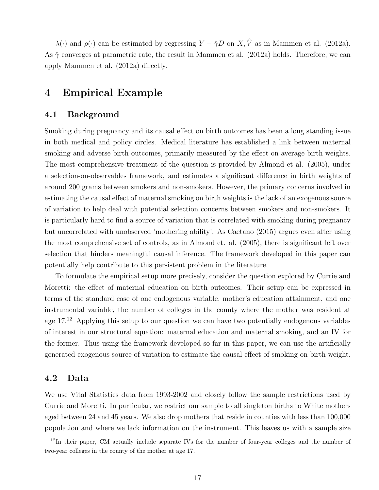$\lambda(\cdot)$  and  $\rho(\cdot)$  can be estimated by regressing  $Y - \hat{\gamma}D$  on  $X, \hat{V}$  as in Mammen et al. (2012a). As  $\hat{\gamma}$  converges at parametric rate, the result in Mammen et al. (2012a) holds. Therefore, we can apply Mammen et al. (2012a) directly.

## 4 Empirical Example

#### 4.1 Background

Smoking during pregnancy and its causal effect on birth outcomes has been a long standing issue in both medical and policy circles. Medical literature has established a link between maternal smoking and adverse birth outcomes, primarily measured by the effect on average birth weights. The most comprehensive treatment of the question is provided by Almond et al. (2005), under a selection-on-observables framework, and estimates a significant difference in birth weights of around 200 grams between smokers and non-smokers. However, the primary concerns involved in estimating the causal effect of maternal smoking on birth weights is the lack of an exogenous source of variation to help deal with potential selection concerns between smokers and non-smokers. It is particularly hard to find a source of variation that is correlated with smoking during pregnancy but uncorrelated with unobserved 'mothering ability'. As Caetano (2015) argues even after using the most comprehensive set of controls, as in Almond et. al. (2005), there is significant left over selection that hinders meaningful causal inference. The framework developed in this paper can potentially help contribute to this persistent problem in the literature.

To formulate the empirical setup more precisely, consider the question explored by Currie and Moretti: the effect of maternal education on birth outcomes. Their setup can be expressed in terms of the standard case of one endogenous variable, mother's education attainment, and one instrumental variable, the number of colleges in the county where the mother was resident at age 17.<sup>12</sup> Applying this setup to our question we can have two potentially endogenous variables of interest in our structural equation: maternal education and maternal smoking, and an IV for the former. Thus using the framework developed so far in this paper, we can use the artificially generated exogenous source of variation to estimate the causal effect of smoking on birth weight.

#### 4.2 Data

We use Vital Statistics data from 1993-2002 and closely follow the sample restrictions used by Currie and Moretti. In particular, we restrict our sample to all singleton births to White mothers aged between 24 and 45 years. We also drop mothers that reside in counties with less than 100,000 population and where we lack information on the instrument. This leaves us with a sample size

<sup>&</sup>lt;sup>12</sup>In their paper, CM actually include separate IVs for the number of four-year colleges and the number of two-year colleges in the county of the mother at age 17.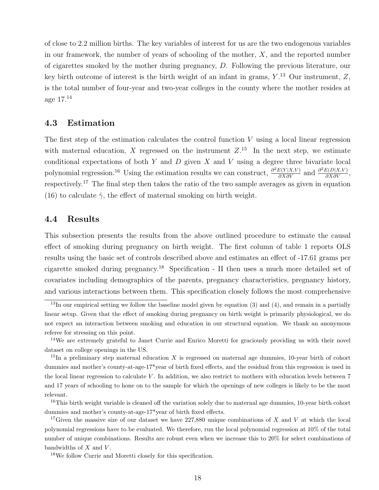of close to 2.2 million births. The key variables of interest for us are the two endogenous variables in our framework, the number of years of schooling of the mother,  $X$ , and the reported number of cigarettes smoked by the mother during pregnancy, D. Following the previous literature, our key birth outcome of interest is the birth weight of an infant in grams,  $Y^{13}$  Our instrument,  $Z$ , is the total number of four-year and two-year colleges in the county where the mother resides at age 17.<sup>14</sup>

#### 4.3 Estimation

The first step of the estimation calculates the control function  $V$  using a local linear regression with maternal education, X regressed on the instrument  $Z$ .<sup>15</sup> In the next step, we estimate conditional expectations of both  $Y$  and  $D$  given  $X$  and  $V$  using a degree three bivariate local polynomial regression.<sup>16</sup> Using the estimation results we can construct,  $\frac{\partial^2 E(Y|X,V)}{\partial X \partial V}$  and  $\frac{\partial^2 E(D|X,V)}{\partial X \partial V}$ , respectively.<sup>17</sup> The final step then takes the ratio of the two sample averages as given in equation (16) to calculate  $\hat{\gamma}$ , the effect of maternal smoking on birth weight.

### 4.4 Results

This subsection presents the results from the above outlined procedure to estimate the causal effect of smoking during pregnancy on birth weight. The first column of table 1 reports OLS results using the basic set of controls described above and estimates an effect of -17.61 grams per cigarette smoked during pregnancy.<sup>18</sup> Specification - II then uses a much more detailed set of covariates including demographics of the parents, pregnancy characteristics, pregnancy history, and various interactions between them. This specification closely follows the most comprehensive

<sup>18</sup>We follow Currie and Moretti closely for this specification.

 $13$ In our empirical setting we follow the baseline model given by equation (3) and (4), and remain in a partially linear setup. Given that the effect of smoking during pregnancy on birth weight is primarily physiological, we do not expect an interaction between smoking and education in our structural equation. We thank an anonymous referee for stressing on this point.

<sup>&</sup>lt;sup>14</sup>We are extremely grateful to Janet Currie and Enrico Moretti for graciously providing us with their novel dataset on college openings in the US.

<sup>&</sup>lt;sup>15</sup>In a preliminary step maternal education X is regressed on maternal age dummies, 10-year birth of cohort dummies and mother's county-at-age-17\*year of birth fixed effects, and the residual from this regression is used in the local linear regression to calculate  $V$ . In addition, we also restrict to mothers with education levels between  $7$ and 17 years of schooling to hone on to the sample for which the openings of new colleges is likely to be the most relevant.

 $16$ This birth weight variable is cleaned off the variation solely due to maternal age dummies, 10-year birth cohort dummies and mother's county-at-age-17\*year of birth fixed effects.

<sup>&</sup>lt;sup>17</sup>Given the massive size of our dataset we have 227,880 unique combinations of X and V at which the local polynomial regressions have to be evaluated. We therefore, run the local polynomial regression at 10% of the total number of unique combinations. Results are robust even when we increase this to 20% for select combinations of bandwidths of  $X$  and  $V$ .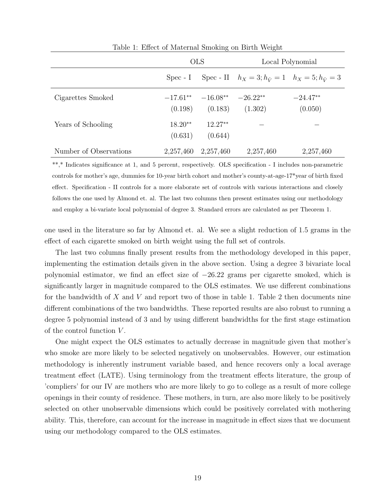|                        | <b>OLS</b>           |                                   | Local Polynomial                                                         |                       |
|------------------------|----------------------|-----------------------------------|--------------------------------------------------------------------------|-----------------------|
|                        |                      |                                   | Spec - I Spec - II $h_X = 3; h_{\hat{V}} = 1$ $h_X = 5; h_{\hat{V}} = 3$ |                       |
| Cigarettes Smoked      | (0.198)              | $-17.61***$ $-16.08**$<br>(0.183) | $-26.22**$<br>(1.302)                                                    | $-24.47**$<br>(0.050) |
| Years of Schooling     | $18.20**$<br>(0.631) | $12.27**$<br>(0.644)              |                                                                          |                       |
| Number of Observations | 2,257,460            | 2,257,460                         | 2,257,460                                                                | 2,257,460             |

Table 1: Effect of Maternal Smoking on Birth Weight

\*\*,\* Indicates significance at 1, and 5 percent, respectively. OLS specification - I includes non-parametric controls for mother's age, dummies for 10-year birth cohort and mother's county-at-age-17\*year of birth fixed effect. Specification - II controls for a more elaborate set of controls with various interactions and closely follows the one used by Almond et. al. The last two columns then present estimates using our methodology and employ a bi-variate local polynomial of degree 3. Standard errors are calculated as per Theorem 1.

one used in the literature so far by Almond et. al. We see a slight reduction of 1.5 grams in the effect of each cigarette smoked on birth weight using the full set of controls.

The last two columns finally present results from the methodology developed in this paper, implementing the estimation details given in the above section. Using a degree 3 bivariate local polynomial estimator, we find an effect size of −26.22 grams per cigarette smoked, which is significantly larger in magnitude compared to the OLS estimates. We use different combinations for the bandwidth of X and V and report two of those in table 1. Table 2 then documents nine different combinations of the two bandwidths. These reported results are also robust to running a degree 5 polynomial instead of 3 and by using different bandwidths for the first stage estimation of the control function  $V$ .

One might expect the OLS estimates to actually decrease in magnitude given that mother's who smoke are more likely to be selected negatively on unobservables. However, our estimation methodology is inherently instrument variable based, and hence recovers only a local average treatment effect (LATE). Using terminology from the treatment effects literature, the group of 'compliers' for our IV are mothers who are more likely to go to college as a result of more college openings in their county of residence. These mothers, in turn, are also more likely to be positively selected on other unobservable dimensions which could be positively correlated with mothering ability. This, therefore, can account for the increase in magnitude in effect sizes that we document using our methodology compared to the OLS estimates.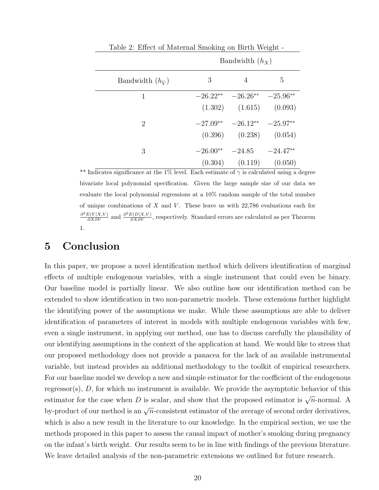|                           | Bandwidth $(h_X)$ |                                   |   |  |
|---------------------------|-------------------|-----------------------------------|---|--|
| Bandwidth $(h_{\hat{V}})$ | 3                 | 4                                 | 5 |  |
| 1                         |                   | $-26.22** -26.26** -25.96**$      |   |  |
|                           |                   | $(1.302)$ $(1.615)$ $(0.093)$     |   |  |
| $\overline{2}$            |                   | $-27.09***$ $-26.12**$ $-25.97**$ |   |  |
|                           |                   | $(0.396)$ $(0.238)$ $(0.054)$     |   |  |
| 3                         | $-26.00**$        | $-24.85 -24.47**$                 |   |  |
|                           |                   | $(0.304)$ $(0.119)$ $(0.050)$     |   |  |

Table 2: Effect of Maternal Smoking on Birth Weight -

\*\* Indicates significance at the 1% level. Each estimate of  $\gamma$  is calculated using a degree bivariate local polynomial specification. Given the large sample size of our data we evaluate the local polynomial regressions at a 10% random sample of the total number of unique combinations of  $X$  and  $V$ . These leave us with  $22,786$  evaluations each for  $\frac{\partial^2 E(Y|X,V)}{\partial X \partial V}$  and  $\frac{\partial^2 E(D|X,V)}{\partial X \partial V}$ , respectively. Standard errors are calculated as per Theorem 1.

### 5 Conclusion

In this paper, we propose a novel identification method which delivers identification of marginal effects of multiple endogenous variables, with a single instrument that could even be binary. Our baseline model is partially linear. We also outline how our identification method can be extended to show identification in two non-parametric models. These extensions further highlight the identifying power of the assumptions we make. While these assumptions are able to deliver identification of parameters of interest in models with multiple endogenous variables with few, even a single instrument, in applying our method, one has to discuss carefully the plausibility of our identifying assumptions in the context of the application at hand. We would like to stress that our proposed methodology does not provide a panacea for the lack of an available instrumental variable, but instead provides an additional methodology to the toolkit of empirical researchers. For our baseline model we develop a new and simple estimator for the coefficient of the endogenous regressor(s), D, for which no instrument is available. We provide the asymptotic behavior of this estimator for the case when D is scalar, and show that the proposed estimator is  $\sqrt{n}$ -normal. A by-product of our method is an  $\sqrt{n}$ -consistent estimator of the average of second order derivatives, which is also a new result in the literature to our knowledge. In the empirical section, we use the methods proposed in this paper to assess the causal impact of mother's smoking during pregnancy on the infant's birth weight. Our results seem to be in line with findings of the previous literature. We leave detailed analysis of the non-parametric extensions we outlined for future research.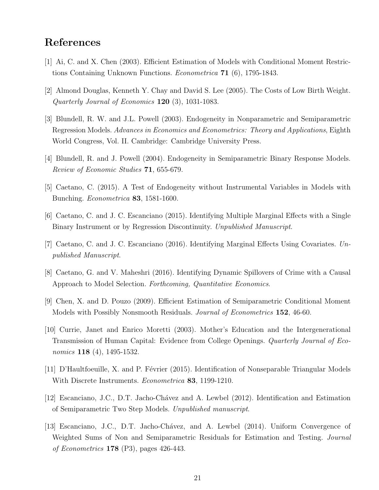# References

- [1] Ai, C. and X. Chen (2003). Efficient Estimation of Models with Conditional Moment Restrictions Containing Unknown Functions. Econometrica 71 (6), 1795-1843.
- [2] Almond Douglas, Kenneth Y. Chay and David S. Lee (2005). The Costs of Low Birth Weight. Quarterly Journal of Economics  $120$  (3), 1031-1083.
- [3] Blundell, R. W. and J.L. Powell (2003). Endogeneity in Nonparametric and Semiparametric Regression Models. Advances in Economics and Econometrics: Theory and Applications, Eighth World Congress, Vol. II. Cambridge: Cambridge University Press.
- [4] Blundell, R. and J. Powell (2004). Endogeneity in Semiparametric Binary Response Models. Review of Economic Studies 71, 655-679.
- [5] Caetano, C. (2015). A Test of Endogeneity without Instrumental Variables in Models with Bunching. Econometrica 83, 1581-1600.
- [6] Caetano, C. and J. C. Escanciano (2015). Identifying Multiple Marginal Effects with a Single Binary Instrument or by Regression Discontinuity. Unpublished Manuscript.
- [7] Caetano, C. and J. C. Escanciano (2016). Identifying Marginal Effects Using Covariates. Unpublished Manuscript.
- [8] Caetano, G. and V. Maheshri (2016). Identifying Dynamic Spillovers of Crime with a Causal Approach to Model Selection. Forthcoming, Quantitative Economics.
- [9] Chen, X. and D. Pouzo (2009). Efficient Estimation of Semiparametric Conditional Moment Models with Possibly Nonsmooth Residuals. Journal of Econometrics 152, 46-60.
- [10] Currie, Janet and Enrico Moretti (2003). Mother's Education and the Intergenerational Transmission of Human Capital: Evidence from College Openings. Quarterly Journal of Economics **118** (4), 1495-1532.
- [11] D'Haultfoeuille, X. and P. Février (2015). Identification of Nonseparable Triangular Models With Discrete Instruments. Econometrica 83, 1199-1210.
- [12] Escanciano, J.C., D.T. Jacho-Ch´avez and A. Lewbel (2012). Identification and Estimation of Semiparametric Two Step Models. Unpublished manuscript.
- [13] Escanciano, J.C., D.T. Jacho-Chávez, and A. Lewbel (2014). Uniform Convergence of Weighted Sums of Non and Semiparametric Residuals for Estimation and Testing. Journal of Econometrics 178 (P3), pages 426-443.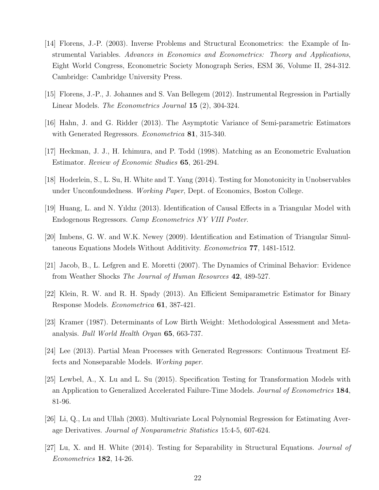- [14] Florens, J.-P. (2003). Inverse Problems and Structural Econometrics: the Example of Instrumental Variables. Advances in Economics and Econometrics: Theory and Applications, Eight World Congress, Econometric Society Monograph Series, ESM 36, Volume II, 284-312. Cambridge: Cambridge University Press.
- [15] Florens, J.-P., J. Johannes and S. Van Bellegem (2012). Instrumental Regression in Partially Linear Models. The Econometrics Journal 15 (2), 304-324.
- [16] Hahn, J. and G. Ridder (2013). The Asymptotic Variance of Semi-parametric Estimators with Generated Regressors. *Econometrica* **81**, 315-340.
- [17] Heckman, J. J., H. Ichimura, and P. Todd (1998). Matching as an Econometric Evaluation Estimator. Review of Economic Studies 65, 261-294.
- [18] Hoderlein, S., L. Su, H. White and T. Yang (2014). Testing for Monotonicity in Unobservables under Unconfoundedness. Working Paper, Dept. of Economics, Boston College.
- [19] Huang, L. and N. Yıldız (2013). Identification of Causal Effects in a Triangular Model with Endogenous Regressors. Camp Econometrics NY VIII Poster.
- [20] Imbens, G. W. and W.K. Newey (2009). Identification and Estimation of Triangular Simultaneous Equations Models Without Additivity. Econometrica 77, 1481-1512.
- [21] Jacob, B., L. Lefgren and E. Moretti (2007). The Dynamics of Criminal Behavior: Evidence from Weather Shocks The Journal of Human Resources 42, 489-527.
- [22] Klein, R. W. and R. H. Spady (2013). An Efficient Semiparametric Estimator for Binary Response Models. Econometrica 61, 387-421.
- [23] Kramer (1987). Determinants of Low Birth Weight: Methodological Assessment and Metaanalysis. Bull World Health Organ 65, 663-737.
- [24] Lee (2013). Partial Mean Processes with Generated Regressors: Continuous Treatment Effects and Nonseparable Models. Working paper.
- [25] Lewbel, A., X. Lu and L. Su (2015). Specification Testing for Transformation Models with an Application to Generalized Accelerated Failure-Time Models. Journal of Econometrics 184, 81-96.
- [26] Li, Q., Lu and Ullah (2003). Multivariate Local Polynomial Regression for Estimating Average Derivatives. Journal of Nonparametric Statistics 15:4-5, 607-624.
- [27] Lu, X. and H. White (2014). Testing for Separability in Structural Equations. Journal of Econometrics 182, 14-26.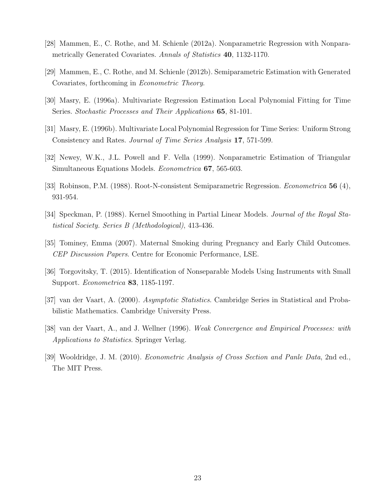- [28] Mammen, E., C. Rothe, and M. Schienle (2012a). Nonparametric Regression with Nonparametrically Generated Covariates. Annals of Statistics 40, 1132-1170.
- [29] Mammen, E., C. Rothe, and M. Schienle (2012b). Semiparametric Estimation with Generated Covariates, forthcoming in Econometric Theory.
- [30] Masry, E. (1996a). Multivariate Regression Estimation Local Polynomial Fitting for Time Series. Stochastic Processes and Their Applications **65**, 81-101.
- [31] Masry, E. (1996b). Multivariate Local Polynomial Regression for Time Series: Uniform Strong Consistency and Rates. Journal of Time Series Analysis 17, 571-599.
- [32] Newey, W.K., J.L. Powell and F. Vella (1999). Nonparametric Estimation of Triangular Simultaneous Equations Models. Econometrica 67, 565-603.
- [33] Robinson, P.M. (1988). Root-N-consistent Semiparametric Regression. Econometrica 56 (4), 931-954.
- [34] Speckman, P. (1988). Kernel Smoothing in Partial Linear Models. Journal of the Royal Statistical Society. Series B (Methodological), 413-436.
- [35] Tominey, Emma (2007). Maternal Smoking during Pregnancy and Early Child Outcomes. CEP Discussion Papers. Centre for Economic Performance, LSE.
- [36] Torgovitsky, T. (2015). Identification of Nonseparable Models Using Instruments with Small Support. Econometrica 83, 1185-1197.
- [37] van der Vaart, A. (2000). Asymptotic Statistics. Cambridge Series in Statistical and Probabilistic Mathematics. Cambridge University Press.
- [38] van der Vaart, A., and J. Wellner (1996). Weak Convergence and Empirical Processes: with Applications to Statistics. Springer Verlag.
- [39] Wooldridge, J. M. (2010). Econometric Analysis of Cross Section and Panle Data, 2nd ed., The MIT Press.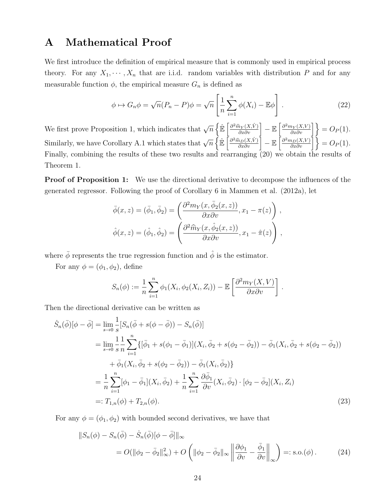# A Mathematical Proof

We first introduce the definition of empirical measure that is commonly used in empirical process theory. For any  $X_1, \dots, X_n$  that are i.i.d. random variables with distribution P and for any measurable function  $\phi$ , the empirical measure  $G_n$  is defined as

$$
\phi \mapsto G_n \phi = \sqrt{n} (P_n - P)\phi = \sqrt{n} \left[ \frac{1}{n} \sum_{i=1}^n \phi(X_i) - \mathbb{E}\phi \right]. \tag{22}
$$

We first prove Proposition 1, which indicates that  $\sqrt{n}\left\{\mathbb{\hat{E}}\left[\frac{\partial^2 \hat{m}_Y(X,\hat{V})}{\partial x \partial v}\right] - \mathbb{E}\left[\frac{\partial^2 m_Y(X,V)}{\partial x \partial v}\right]\right\} = O_P(1)$ . Similarly, we have Corollary A.1 which states that  $\sqrt{n}\left\{\mathbb{\hat{E}}\left[\frac{\partial^2 \hat{m}_D(X,\hat{V})}{\partial x \partial v}\right] - \mathbb{E}\left[\frac{\partial^2 m_D(X,V)}{\partial x \partial v}\right]\right\} = O_P(1)$ . Finally, combining the results of these two results and rearranging (20) we obtain the results of Theorem 1.

Proof of Proposition 1: We use the directional derivative to decompose the influences of the generated regressor. Following the proof of Corollary 6 in Mammen et al. (2012a), let

$$
\bar{\phi}(x, z) = (\bar{\phi}_1, \bar{\phi}_2) = \left(\frac{\partial^2 m_Y(x, \bar{\phi}_2(x, z))}{\partial x \partial v}, x_1 - \pi(z)\right),
$$
  

$$
\hat{\phi}(x, z) = (\hat{\phi}_1, \hat{\phi}_2) = \left(\frac{\partial^2 \hat{m}_Y(x, \hat{\phi}_2(x, z))}{\partial x \partial v}, x_1 - \hat{\pi}(z)\right),
$$

where  $\bar{\phi}$  represents the true regression function and  $\hat{\phi}$  is the estimator.

For any  $\phi = (\phi_1, \phi_2)$ , define

$$
S_n(\phi) := \frac{1}{n} \sum_{i=1}^n \phi_1(X_i, \phi_2(X_i, Z_i)) - \mathbb{E}\left[\frac{\partial^2 m_Y(X, V)}{\partial x \partial v}\right].
$$

Then the directional derivative can be written as

$$
\dot{S}_n(\bar{\phi})[\phi - \bar{\phi}] = \lim_{s \to 0} \frac{1}{s} [S_n(\bar{\phi} + s(\phi - \bar{\phi})) - S_n(\bar{\phi})]
$$
\n
$$
= \lim_{s \to 0} \frac{1}{s} \frac{1}{n} \sum_{i=1}^n \{ [\bar{\phi}_1 + s(\phi_1 - \bar{\phi}_1)](X_i, \bar{\phi}_2 + s(\phi_2 - \bar{\phi}_2)) - \bar{\phi}_1(X_i, \bar{\phi}_2 + s(\phi_2 - \bar{\phi}_2))
$$
\n
$$
+ \bar{\phi}_1(X_i, \bar{\phi}_2 + s(\phi_2 - \bar{\phi}_2)) - \bar{\phi}_1(X_i, \bar{\phi}_2) \}
$$
\n
$$
= \frac{1}{n} \sum_{i=1}^n [\phi_1 - \bar{\phi}_1](X_i, \bar{\phi}_2) + \frac{1}{n} \sum_{i=1}^n \frac{\partial \bar{\phi}_1}{\partial v}(X_i, \bar{\phi}_2) \cdot [\phi_2 - \bar{\phi}_2](X_i, Z_i)
$$
\n
$$
=: T_{1,n}(\phi) + T_{2,n}(\phi).
$$
\n(23)

For any  $\phi = (\phi_1, \phi_2)$  with bounded second derivatives, we have that

$$
||S_n(\phi) - S_n(\bar{\phi}) - \dot{S}_n(\bar{\phi})[\phi - \bar{\phi}]||_{\infty}
$$
  
=  $O(||\phi_2 - \bar{\phi}_2||_{\infty}^2) + O\left(||\phi_2 - \bar{\phi}_2||_{\infty} \left\| \frac{\partial \phi_1}{\partial v} - \frac{\bar{\phi}_1}{\partial v} \right\|_{\infty}\right) =: \text{s.o.}(\phi).$  (24)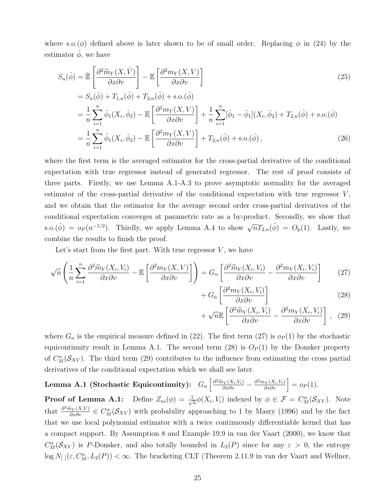where s.o.( $\phi$ ) defined above is later shown to be of small order. Replacing  $\phi$  in (24) by the estimator  $\phi$ , we have

$$
S_n(\hat{\phi}) = \hat{\mathbb{E}} \left[ \frac{\partial^2 \hat{m}_Y(X, \hat{V})}{\partial x \partial v} \right] - \mathbb{E} \left[ \frac{\partial^2 m_Y(X, V)}{\partial x \partial v} \right]
$$
(25)

$$
= S_n(\bar{\phi}) + T_{1,n}(\hat{\phi}) + T_{2,n}(\hat{\phi}) + \text{s.o.}(\hat{\phi})
$$
  
\n
$$
= \frac{1}{n} \sum_{i=1}^n \bar{\phi}_1(X_i, \bar{\phi}_2) - \mathbb{E}\left[\frac{\partial^2 m_Y(X, V)}{\partial x \partial v}\right] + \frac{1}{n} \sum_{i=1}^n [\hat{\phi}_1 - \bar{\phi}_1](X_i, \bar{\phi}_2) + T_{2,n}(\hat{\phi}) + \text{s.o.}(\hat{\phi})
$$
  
\n
$$
= \frac{1}{n} \sum_{i=1}^n \hat{\phi}_1(X_i, \bar{\phi}_2) - \mathbb{E}\left[\frac{\partial^2 m_Y(X, V)}{\partial x \partial v}\right] + T_{2,n}(\hat{\phi}) + \text{s.o.}(\hat{\phi}), \tag{26}
$$

where the first term is the averaged estimator for the cross-partial derivative of the conditional expectation with true regressor instead of generated regressor. The rest of proof consists of three parts. Firstly, we use Lemma A.1-A.3 to prove asymptotic normality for the averaged estimator of the cross-partial derivative of the conditional expectation with true regressor  $V$ , and we obtain that the estimator for the average second order cross-partial derivatives of the conditional expectation converges at parametric rate as a by-product. Secondly, we show that s.o.( $\hat{\phi}$ ) =  $o_P(n^{-1/2})$ . Thirdly, we apply Lemma A.4 to show  $\sqrt{n}T_{2,n}(\hat{\phi}) = O_p(1)$ . Lastly, we combine the results to finish the proof.

Let's start from the first part. With true regressor  $V$ , we have

$$
\sqrt{n}\left(\frac{1}{n}\sum_{i=1}^{n}\frac{\partial^2\widehat{m}_Y(X_i,V_i)}{\partial x\partial v} - \mathbb{E}\left[\frac{\partial^2m_Y(X,V)}{\partial x\partial v}\right]\right) = G_n\left[\frac{\partial^2\widehat{m}_Y(X_i,V_i)}{\partial x\partial v} - \frac{\partial^2m_Y(X_i,V_i)}{\partial x\partial v}\right] \tag{27}
$$

$$
+ G_n \left[ \frac{\partial^2 m_Y(X_i, V_i)}{\partial x \partial v} \right] \tag{28}
$$

$$
+\sqrt{n}\mathbb{E}\left[\frac{\partial^2 \widehat{m}_Y(X_i, V_i)}{\partial x \partial v} - \frac{\partial^2 m_Y(X_i, V_i)}{\partial x \partial v}\right], (29)
$$

where  $G_n$  is the empirical measure defined in (22). The first term (27) is  $o_P(1)$  by the stochastic equicontinuity result in Lemma A.1. The second term (28) is  $O_P(1)$  by the Donsker property of  $C_M^{\alpha}(\mathcal{S}_{XV})$ . The third term (29) contributes to the influence from estimating the cross partial derivatives of the conditional expectation which we shall see later.

 $\textbf{Lemma A.1 (Stochastic Equicontinuity):} \quad G_n\left[\frac{\partial^2 \widehat{m}_Y(X_i,V_i)}{\partial x \partial v} - \frac{\partial^2 m_Y(X_i,V_i)}{\partial x \partial v}\right] = o_P(1).$ 

**Proof of Lemma A.1:** Define  $Z_{ni}(\phi) = \frac{1}{\sqrt{n}}$  $\frac{1}{n}\phi(X_i, V_i)$  indexed by  $\phi \in \mathcal{F} = C_M^{\alpha}(\mathcal{S}_{XV})$ . Note that  $\frac{\partial^2 \hat{m}_Y(X,V)}{\partial x \partial v} \in C_M^{\alpha}(\mathcal{S}_{XV})$  with probability approaching to 1 by Masry (1996) and by the fact that we use local polynomial estimator with a twice continuously differentiable kernel that has a compact support. By Assumption 8 and Example 19.9 in van der Vaart (2000), we know that  $C_M^{\alpha}(\mathcal{S}_{XV})$  is P-Donsker, and also totally bounded in  $L_2(P)$  since for any  $\varepsilon > 0$ , the entropy  $\log N_{[~]}(\varepsilon, C_M^{\alpha}, L_2(P)) < \infty$ . The bracketing CLT (Theorem 2.11.9 in van der Vaart and Wellner,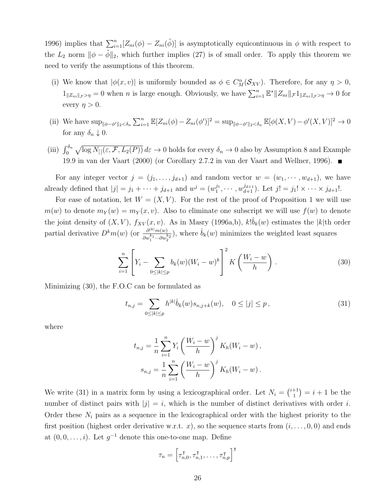1996) implies that  $\sum_{i=1}^{n} [Z_{ni}(\phi) - Z_{ni}(\tilde{\phi})]$  is asymptotically equicontinuous in  $\phi$  with respect to the  $L_2$  norm  $\|\phi - \phi\|_2$ , which further implies (27) is of small order. To apply this theorem we need to verify the assumptions of this theorem.

- (i) We know that  $|\phi(x, v)|$  is uniformly bounded as  $\phi \in C_M^{\alpha}(\mathcal{S}_{XV})$ . Therefore, for any  $\eta > 0$ ,  $1_{\|Z_{ni}\|_{\mathcal{F}}>\eta}=0$  when n is large enough. Obviously, we have  $\sum_{i=1}^{n} \mathbb{E}^* \|Z_{ni}\|_{\mathcal{F}} 1_{\|Z_{ni}\|_{\mathcal{F}}>\eta} \to 0$  for every  $\eta > 0$ .
- (ii) We have  $\sup_{\|\phi-\phi'\|_2\leq \delta_n}\sum_{i=1}^n\mathbb{E}[Z_{ni}(\phi)-Z_{ni}(\phi')]^2=\sup_{\|\phi-\phi'\|_2\leq \delta_n}\mathbb{E}[\phi(X,V)-\phi'(X,V)]^2\to 0$ for any  $\delta_n \downarrow 0$ .
- (iii)  $\int_0^{\delta_n} \sqrt{\log N_{[}](\epsilon, \mathcal{F}, L_2(P))} d\epsilon \to 0$  holds for every  $\delta_n \to 0$  also by Assumption 8 and Example 19.9 in van der Vaart (2000) (or Corollary 2.7.2 in van der Vaart and Wellner, 1996).

For any integer vector  $j = (j_1, \ldots, j_{d+1})$  and random vector  $w = (w_1, \cdots, w_{d+1})$ , we have already defined that  $|j| = j_1 + \cdots + j_{d+1}$  and  $w^j = (w_1^{j_1}, \cdots, w_{d+1}^{j_{d+1}})$ . Let  $j! = j_1! \times \cdots \times j_{d+1}!$ .

For ease of notation, let  $W = (X, V)$ . For the rest of the proof of Proposition 1 we will use  $m(w)$  to denote  $m_Y(w) = m_Y(x, v)$ . Also to eliminate one subscript we will use  $f(w)$  to denote the joint density of  $(X, V)$ ,  $f_{XV}(x, v)$ . As in Masry (1996a,b),  $k! \hat{b}_k(w)$  estimates the |k|th order partial derivative  $D^k m(w)$  (or  $\frac{\partial^{|k|} m(w)}{\partial k}$  $\frac{\partial^{|k|} m(w)}{\partial w_1^{k_1} \cdots \partial w_2^{k_2}}$ , where  $\hat{b}_k(w)$  minimizes the weighted least squares

$$
\sum_{i=1}^{n} \left[ Y_i - \sum_{0 \le |k| \le p} b_k(w) (W_i - w)^k \right]^2 K \left( \frac{W_i - w}{h} \right). \tag{30}
$$

Minimizing (30), the F.O.C can be formulated as

$$
t_{n,j} = \sum_{0 \le |k| \le p} h^{|k|} \hat{b}_k(w) s_{n,j+k}(w), \quad 0 \le |j| \le p,
$$
\n(31)

where

$$
t_{n,j} = \frac{1}{n} \sum_{i=1}^{n} Y_i \left( \frac{W_i - w}{h} \right)^j K_h(W_i - w),
$$
  

$$
s_{n,j} = \frac{1}{n} \sum_{i=1}^{n} \left( \frac{W_i - w}{h} \right)^j K_h(W_i - w).
$$

We write (31) in a matrix form by using a lexicographical order. Let  $N_i = \binom{i+1}{1}$  $j_1^{+1}$  =  $i + 1$  be the number of distinct pairs with  $|j| = i$ , which is the number of distinct derivatives with order i. Order these  $N_i$  pairs as a sequence in the lexicographical order with the highest priority to the first position (highest order derivative w.r.t. x), so the sequence starts from  $(i, \ldots, 0, 0)$  and ends at  $(0, 0, \ldots, i)$ . Let  $g^{-1}$  denote this one-to-one map. Define

$$
\tau_n = \begin{bmatrix} \tau_{n,0}^{\intercal}, \tau_{n,1}^{\intercal}, \ldots, \tau_{n,p}^{\intercal} \end{bmatrix}^{\intercal}
$$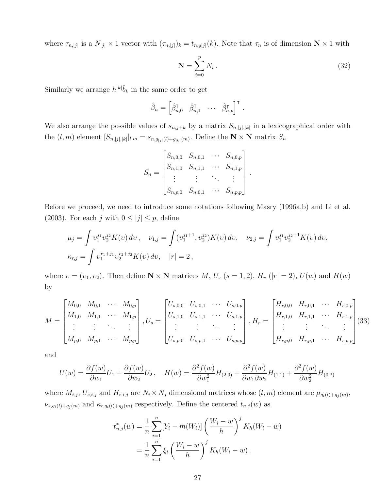where  $\tau_{n,|j|}$  is a  $N_{|j|} \times 1$  vector with  $(\tau_{n,|j|})_k = t_{n,g|j|}(k)$ . Note that  $\tau_n$  is of dimension  $\mathbb{N} \times 1$  with

$$
\mathbf{N} = \sum_{i=0}^{p} N_i \,. \tag{32}
$$

.

Similarly we arrange  $h^{|k|}\hat{b}_k$  in the same order to get

$$
\hat{\beta}_n = \begin{bmatrix} \hat{\beta}_{n,0}^{\mathsf{T}} & \hat{\beta}_{n,1}^{\mathsf{T}} & \cdots & \hat{\beta}_{n,p}^{\mathsf{T}} \end{bmatrix}^{\mathsf{T}}.
$$

We also arrange the possible values of  $s_{n,j+k}$  by a matrix  $S_{n,j}|_{k}$  in a lexicographical order with the  $(l,m)$  element  $[S_{n,|j|,|k|}]_{l,m} = s_{n,g_{|j|}(l)+g_{|k|}(m)}$ . Define the  $N \times N$  matrix  $S_n$ 

$$
S_n = \begin{bmatrix} S_{n,0,0} & S_{n,0,1} & \cdots & S_{n,0,p} \\ S_{n,1,0} & S_{n,1,1} & \cdots & S_{n,1,p} \\ \vdots & \vdots & \ddots & \vdots \\ S_{n,p,0} & S_{n,0,1} & \cdots & S_{n,p,p} \end{bmatrix}
$$

Before we proceed, we need to introduce some notations following Masry (1996a,b) and Li et al. (2003). For each j with  $0 \leq |j| \leq p$ , define

$$
\mu_j = \int v_1^{j_1} v_2^{j_2} K(v) dv, \quad \nu_{1,j} = \int (v_1^{j_1+1}, v_2^{j_2}) K(v) dv, \quad \nu_{2,j} = \int v_1^{j_1} v_2^{j_2+1} K(v) dv,
$$
  

$$
\kappa_{r,j} = \int v_1^{r_1+j_1} v_2^{r_2+j_2} K(v) dv, \quad |r| = 2,
$$

where  $v = (v_1, v_2)$ . Then define  $\mathbb{N} \times \mathbb{N}$  matrices M,  $U_s$  (s = 1, 2),  $H_r$  (|r| = 2),  $U(w)$  and  $H(w)$ by

$$
M = \begin{bmatrix} M_{0,0} & M_{0,1} & \cdots & M_{0,p} \\ M_{1,0} & M_{1,1} & \cdots & M_{1,p} \\ \vdots & \vdots & \ddots & \vdots \\ M_{p,0} & M_{p,1} & \cdots & M_{p,p} \end{bmatrix}, U_s = \begin{bmatrix} U_{s,0,0} & U_{s,0,1} & \cdots & U_{s,0,p} \\ U_{s,1,0} & U_{s,1,1} & \cdots & U_{s,1,p} \\ \vdots & \vdots & \ddots & \vdots \\ U_{s,p,0} & U_{s,p,1} & \cdots & U_{s,p,p} \end{bmatrix}, H_r = \begin{bmatrix} H_{r,0,0} & H_{r,0,1} & \cdots & H_{r,0,p} \\ H_{r,1,0} & H_{r,1,1} & \cdots & H_{r,1,p} \\ \vdots & \vdots & \ddots & \vdots \\ H_{r,p,0} & H_{r,p,1} & \cdots & H_{r,p,p} \end{bmatrix}
$$
(33)

and

$$
U(w) = \frac{\partial f(w)}{\partial w_1} U_1 + \frac{\partial f(w)}{\partial w_2} U_2, \quad H(w) = \frac{\partial^2 f(w)}{\partial w_1^2} H_{(2,0)} + \frac{\partial^2 f(w)}{\partial w_1 \partial w_2} H_{(1,1)} + \frac{\partial^2 f(w)}{\partial w_2^2} H_{(0,2)}
$$

where  $M_{i,j}$ ,  $U_{s,i,j}$  and  $H_{r,i,j}$  are  $N_i \times N_j$  dimensional matrices whose  $(l,m)$  element are  $\mu_{g_i(l)+g_j(m)}$ ,  $\nu_{s,g_i(l)+g_j(m)}$  and  $\kappa_{r,g_i(l)+g_j(m)}$  respectively. Define the centered  $t_{n,j}(w)$  as

$$
t_{n,j}^*(w) = \frac{1}{n} \sum_{i=1}^n [Y_i - m(W_i)] \left(\frac{W_i - w}{h}\right)^j K_h(W_i - w)
$$
  
= 
$$
\frac{1}{n} \sum_{i=1}^n \xi_i \left(\frac{W_i - w}{h}\right)^j K_h(W_i - w).
$$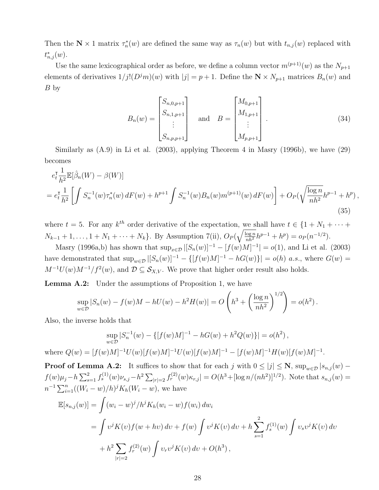Then the  $\mathbf{N} \times 1$  matrix  $\tau_n^*(w)$  are defined the same way as  $\tau_n(w)$  but with  $t_{n,j}(w)$  replaced with  $t_{n,j}^*(w)$ .

Use the same lexicographical order as before, we define a column vector  $m^{(p+1)}(w)$  as the  $N_{p+1}$ elements of derivatives  $1/j!(D^j m)(w)$  with  $|j| = p + 1$ . Define the  $\mathbb{N} \times N_{p+1}$  matrices  $B_n(w)$  and B by

$$
B_n(w) = \begin{bmatrix} S_{n,0,p+1} \\ S_{n,1,p+1} \\ \vdots \\ S_{n,p,p+1} \end{bmatrix} \text{ and } B = \begin{bmatrix} M_{0,p+1} \\ M_{1,p+1} \\ \vdots \\ M_{p,p+1} \end{bmatrix} .
$$
 (34)

Similarly as (A.9) in Li et al. (2003), applying Theorem 4 in Masry (1996b), we have (29) becomes

$$
e_t^{\mathsf{T}} \frac{1}{h^2} \mathbb{E}[\hat{\beta}_n(W) - \beta(W)]
$$
  
= 
$$
e_t^{\mathsf{T}} \frac{1}{h^2} \left[ \int S_n^{-1}(w) \tau_n^*(w) dF(w) + h^{p+1} \int S_n^{-1}(w) B_n(w) m^{(p+1)}(w) dF(w) \right] + O_P(\sqrt{\frac{\log n}{nh^2}} h^{p-1} + h^p),
$$
\n(35)

where  $t = 5$ . For any  $k^{th}$  order derivative of the expectation, we shall have  $t \in \{1 + N_1 + \cdots +$  $N_{k-1} + 1, \ldots, 1 + N_1 + \cdots + N_k$ . By Assumption 7(ii),  $O_P(\sqrt{\frac{\log n}{nh^2}}h^{p-1} + h^p) = o_P(n^{-1/2})$ .

Masry (1996a,b) has shown that  $\sup_{x \in \mathcal{D}} |[S_n(w)]^{-1} - [f(w)M]^{-1}| = o(1)$ , and Li et al. (2003) have demonstrated that  $\sup_{w \in \mathcal{D}} |[S_n(w)]^{-1} - \{[f(w)M]^{-1} - hG(w)\}| = o(h)$  *a.s.*, where  $G(w) =$  $M^{-1}U(w)M^{-1}/f^2(w)$ , and  $\mathcal{D}\subseteq \mathcal{S}_{X,V}$ . We prove that higher order result also holds.

Lemma A.2: Under the assumptions of Proposition 1, we have

$$
\sup_{w \in \mathcal{D}} |S_n(w) - f(w)M - hU(w) - h^2 H(w)| = O\left(h^3 + \left(\frac{\log n}{nh^2}\right)^{1/2}\right) = o(h^2).
$$

Also, the inverse holds that

$$
\sup_{w \in \mathcal{D}} |S_n^{-1}(w) - \{ [f(w)M]^{-1} - hG(w) + h^2 Q(w) \} | = o(h^2),
$$
  
where  $Q(w) = [f(w)M]^{-1}U(w)[f(w)M]^{-1}U(w)[f(w)M]^{-1} - [f(w)M]^{-1}H(w)[f(w)M]^{-1}.$ 

**Proof of Lemma A.2:** It suffices to show that for each j with  $0 \leq |j| \leq N$ ,  $\sup_{w \in \mathcal{D}} |s_{n,j}(w)$  $f(w)\mu_j - h\sum_{s=1}^2 f_s^{(1)}(w)\nu_{s,j} - h^2\sum_{|r|=2} f_r^{(2)}(w)\kappa_{r,j} = O(h^3 + [\log n/(nh^2)]^{1/2})$ . Note that  $s_{n,j}(w) =$  $n^{-1} \sum_{i=1}^{n} ((W_i - w)/h)^j K_h(W_i - w)$ , we have

$$
\mathbb{E}[s_{n,j}(w)] = \int (w_i - w)^j / h^j K_h(w_i - w) f(w_i) dw_i
$$
  
= 
$$
\int v^j K(v) f(w + hv) dv + f(w) \int v^j K(v) dv + h \sum_{s=1}^2 f_s^{(1)}(w) \int v_s v^j K(v) dv
$$
  
+ 
$$
h^2 \sum_{|r|=2} f_r^{(2)}(w) \int v_r v^j K(v) dv + O(h^3),
$$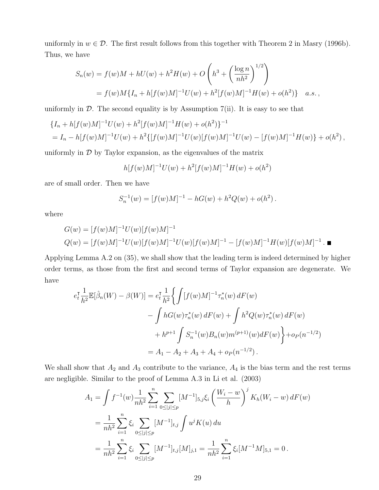uniformly in  $w \in \mathcal{D}$ . The first result follows from this together with Theorem 2 in Masry (1996b). Thus, we have

$$
S_n(w) = f(w)M + hU(w) + h^2H(w) + O\left(h^3 + \left(\frac{\log n}{nh^2}\right)^{1/2}\right)
$$
  
=  $f(w)M\{I_n + h[f(w)M]^{-1}U(w) + h^2[f(w)M]^{-1}H(w) + o(h^2)\}$  a.s.,

uniformly in  $\mathcal D$ . The second equality is by Assumption 7(ii). It is easy to see that

$$
\{I_n + h[f(w)M]^{-1}U(w) + h^2[f(w)M]^{-1}H(w) + o(h^2)\}^{-1}
$$
  
=  $I_n - h[f(w)M]^{-1}U(w) + h^2\{[f(w)M]^{-1}U(w)[f(w)M]^{-1}U(w) - [f(w)M]^{-1}H(w)\} + o(h^2)$ ,

uniformly in  $D$  by Taylor expansion, as the eigenvalues of the matrix

$$
h[f(w)M]^{-1}U(w) + h^2[f(w)M]^{-1}H(w) + o(h^2)
$$

are of small order. Then we have

$$
S_n^{-1}(w) = [f(w)M]^{-1} - hG(w) + h^2Q(w) + o(h^2).
$$

where

$$
G(w) = [f(w)M]^{-1}U(w)[f(w)M]^{-1}
$$
  
 
$$
Q(w) = [f(w)M]^{-1}U(w)[f(w)M]^{-1}U(w)[f(w)M]^{-1} - [f(w)M]^{-1}H(w)[f(w)M]^{-1}.\blacksquare
$$

Applying Lemma A.2 on (35), we shall show that the leading term is indeed determined by higher order terms, as those from the first and second terms of Taylor expansion are degenerate. We have

$$
e_t^{\mathsf{T}} \frac{1}{h^2} \mathbb{E}[\hat{\beta}_n(W) - \beta(W)] = e_t^{\mathsf{T}} \frac{1}{h^2} \Biggl\{ \int [f(w)M]^{-1} \tau_n^*(w) dF(w) - \int hG(w) \tau_n^*(w) dF(w) + \int h^2 Q(w) \tau_n^*(w) dF(w) + h^{p+1} \int S_n^{-1}(w) B_n(w) m^{(p+1)}(w) dF(w) \Biggr\} + o_P(n^{-1/2}) = A_1 - A_2 + A_3 + A_4 + o_P(n^{-1/2}).
$$

We shall show that  $A_2$  and  $A_3$  contribute to the variance,  $A_4$  is the bias term and the rest terms are negligible. Similar to the proof of Lemma A.3 in Li et al. (2003)

$$
A_1 = \int f^{-1}(w) \frac{1}{nh^2} \sum_{i=1}^n \sum_{0 \le |j| \le p} [M^{-1}]_{5,j} \xi_i \left(\frac{W_i - w}{h}\right)^j K_h(W_i - w) dF(w)
$$
  
= 
$$
\frac{1}{nh^2} \sum_{i=1}^n \xi_i \sum_{0 \le |j| \le p} [M^{-1}]_{t,j} \int u^j K(u) du
$$
  
= 
$$
\frac{1}{nh^2} \sum_{i=1}^n \xi_i \sum_{0 \le |j| \le p} [M^{-1}]_{t,j} [M]_{j,1} = \frac{1}{nh^2} \sum_{i=1}^n \xi_i [M^{-1}M]_{5,1} = 0.
$$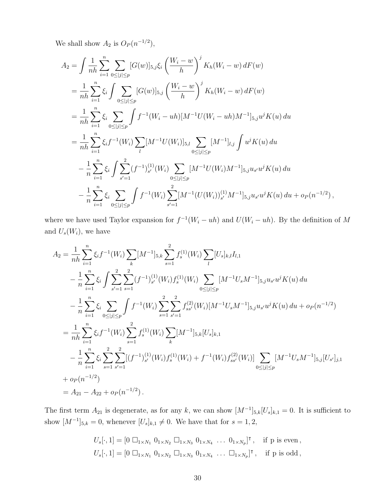We shall show  $A_2$  is  $O_P(n^{-1/2})$ ,

$$
A_2 = \int \frac{1}{nh} \sum_{i=1}^n \sum_{0 \le |j| \le p} [G(w)]_{5,j} \xi_i \left(\frac{W_i - w}{h}\right)^j K_h(W_i - w) dF(w)
$$
  
\n
$$
= \frac{1}{nh} \sum_{i=1}^n \xi_i \int \sum_{0 \le |j| \le p} [G(w)]_{5,j} \left(\frac{W_i - w}{h}\right)^j K_h(W_i - w) dF(w)
$$
  
\n
$$
= \frac{1}{nh} \sum_{i=1}^n \xi_i \sum_{0 \le |j| \le p} \int f^{-1}(W_i - uh)[M^{-1}U(W_i - uh)M^{-1}]_{5,j} u^j K(u) du
$$
  
\n
$$
= \frac{1}{nh} \sum_{i=1}^n \xi_i f^{-1}(W_i) \sum_l [M^{-1}U(W_i)]_{5,l} \sum_{0 \le |j| \le p} [M^{-1}]_{l,j} \int u^j K(u) du
$$
  
\n
$$
- \frac{1}{n} \sum_{i=1}^n \xi_i \int \sum_{s'=1}^2 (f^{-1})_{s'}^{(1)}(W_i) \sum_{0 \le |j| \le p} [M^{-1}U(W_i)M^{-1}]_{5,j} u_{s'} u^j K(u) du
$$
  
\n
$$
- \frac{1}{n} \sum_{i=1}^n \xi_i \sum_{0 \le |j| \le p} \int f^{-1}(W_i) \sum_{s'=1}^2 [M^{-1}(U(W_i))_{s'}^{(1)} M^{-1}]_{5,j} u_{s'} u^j K(u) du + o_P(n^{-1/2}),
$$

where we have used Taylor expansion for  $f^{-1}(W_i - uh)$  and  $U(W_i - uh)$ . By the definition of M and  $U_s(W_i)$ , we have

$$
A_{2} = \frac{1}{nh} \sum_{i=1}^{n} \xi_{i} f^{-1}(W_{i}) \sum_{k} [M^{-1}]_{5,k} \sum_{s=1}^{2} f_{s}^{(1)}(W_{i}) \sum_{l} [U_{s}]_{k,l} I_{l,1}
$$
  
\n
$$
- \frac{1}{n} \sum_{i=1}^{n} \xi_{i} \int \sum_{s'=1}^{2} \sum_{s=1}^{2} (f^{-1})_{s'}^{(1)}(W_{i}) f_{s}^{(1)}(W_{i}) \sum_{0 \leq |j| \leq p} [M^{-1}U_{s}M^{-1}]_{5,j} u_{s'} u^{j} K(u) du
$$
  
\n
$$
- \frac{1}{n} \sum_{i=1}^{n} \xi_{i} \sum_{0 \leq |j| \leq p} \int f^{-1}(W_{i}) \sum_{s=1}^{2} \sum_{s'=1}^{2} f_{ss'}^{(2)}(W_{i}) [M^{-1}U_{s}M^{-1}]_{5,j} u_{s'} u^{j} K(u) du + o_{P}(n^{-1/2})
$$
  
\n
$$
= \frac{1}{nh} \sum_{i=1}^{n} \xi_{i} f^{-1}(W_{i}) \sum_{s=1}^{2} f_{s}^{(1)}(W_{i}) \sum_{k} [M^{-1}]_{5,k} [U_{s}]_{k,1}
$$
  
\n
$$
- \frac{1}{n} \sum_{i=1}^{n} \xi_{i} \sum_{s'=1}^{2} \sum_{s'=1}^{2} [(f^{-1})_{s'}^{(1)}(W_{i}) f_{s}^{(1)}(W_{i}) + f^{-1}(W_{i}) f_{ss'}^{(2)}(W_{i})] \sum_{0 \leq |j| \leq p} [M^{-1}U_{s}M^{-1}]_{5,j} [U_{s'}]_{j,1}
$$
  
\n
$$
+ o_{P}(n^{-1/2})
$$
  
\n
$$
= A_{21} - A_{22} + o_{P}(n^{-1/2}).
$$

The first term  $A_{21}$  is degenerate, as for any k, we can show  $[M^{-1}]_{5,k}[U_s]_{k,1} = 0$ . It is sufficient to show  $[M^{-1}]_{5,k} = 0$ , whenever  $[U_s]_{k,1} \neq 0$ . We have that for  $s = 1, 2$ ,

$$
U_s[\cdot, 1] = [0 \ \Box_{1 \times N_1} \ 0_{1 \times N_2} \ \Box_{1 \times N_3} \ 0_{1 \times N_4} \ \dots \ 0_{1 \times N_p}]^{\mathsf{T}}, \quad \text{if } p \text{ is even},
$$
  

$$
U_s[\cdot, 1] = [0 \ \Box_{1 \times N_1} \ 0_{1 \times N_2} \ \Box_{1 \times N_3} \ 0_{1 \times N_4} \ \dots \ \Box_{1 \times N_p}]^{\mathsf{T}}, \quad \text{if } p \text{ is odd},
$$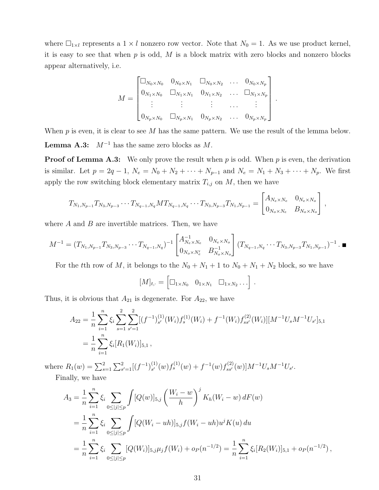where  $\Box_{1\times l}$  represents a  $1 \times l$  nonzero row vector. Note that  $N_0 = 1$ . As we use product kernel, it is easy to see that when  $p$  is odd,  $M$  is a block matrix with zero blocks and nonzero blocks appear alternatively, i.e.

$$
M = \begin{bmatrix} \Box_{N_0 \times N_0} & 0_{N_0 \times N_1} & \Box_{N_0 \times N_2} & \dots & 0_{N_0 \times N_p} \\ 0_{N_1 \times N_0} & \Box_{N_1 \times N_1} & 0_{N_1 \times N_2} & \dots & \Box_{N_1 \times N_p} \\ \vdots & \vdots & \vdots & \dots & \vdots \\ 0_{N_p \times N_0} & \Box_{N_p \times N_1} & 0_{N_p \times N_2} & \dots & 0_{N_p \times N_p} \end{bmatrix}.
$$

When  $p$  is even, it is clear to see  $M$  has the same pattern. We use the result of the lemma below. **Lemma A.3:**  $M^{-1}$  has the same zero blocks as M.

**Proof of Lemma A.3:** We only prove the result when  $p$  is odd. When  $p$  is even, the derivation is similar. Let  $p = 2q - 1$ ,  $N_e = N_0 + N_2 + \cdots + N_{p-1}$  and  $N_e = N_1 + N_3 + \cdots + N_p$ . We first apply the row switching block elementary matrix  $T_{i,j}$  on  $M$ , then we have

$$
T_{N_1,N_{p-1}}T_{N_3,N_{p-3}}\cdots T_{N_{q-1},N_q}MT_{N_{q-1},N_q}\cdots T_{N_3,N_{p-3}}T_{N_1,N_{p-1}} = \begin{bmatrix} A_{N_e\times N_e} & 0_{N_e\times N_o} \\ 0_{N_o\times N_e} & B_{N_o\times N_o} \end{bmatrix},
$$

where  $A$  and  $B$  are invertible matrices. Then, we have

$$
M^{-1} = (T_{N_1,N_{p-1}}T_{N_3,N_{p-3}}\cdots T_{N_{q-1},N_q})^{-1} \begin{bmatrix} A_{N_e \times N_e}^{-1} & 0_{N_e \times N_o} \\ 0_{N_o \times N_e'} & B_{N_o \times N_o}^{-1} \end{bmatrix} (T_{N_{q-1},N_q}\cdots T_{N_3,N_{p-3}}T_{N_1,N_{p-1}})^{-1} . \blacksquare
$$

For the tth row of M, it belongs to the  $N_0 + N_1 + 1$  to  $N_0 + N_1 + N_2$  block, so we have

$$
[M]_{t,\cdot} = \begin{bmatrix} \Box_{1 \times N_0} & 0_{1 \times N_1} & \Box_{1 \times N_2} \dots \end{bmatrix}.
$$

Thus, it is obvious that  $A_{21}$  is degenerate. For  $A_{22}$ , we have

$$
A_{22} = \frac{1}{n} \sum_{i=1}^{n} \xi_i \sum_{s=1}^{2} \sum_{s'=1}^{2} [(f^{-1})_{s'}^{(1)}(W_i) f_s^{(1)}(W_i) + f^{-1}(W_i) f_{ss'}^{(2)}(W_i)][M^{-1}U_s M^{-1}U_{s'}]_{5,1}
$$
  
= 
$$
\frac{1}{n} \sum_{i=1}^{n} \xi_i [R_1(W_i)]_{5,1},
$$

where  $R_1(w) = \sum_{s=1}^2 \sum_{s'=1}^2 [(f^{-1})_{s'}^{(1)}]$  $s'(w) f_s^{(1)}(w) + f^{-1}(w) f_{ss'}^{(2)}(w) M^{-1} U_s M^{-1} U_{s'}.$ 

Finally, we have

$$
A_3 = \frac{1}{n} \sum_{i=1}^n \xi_i \sum_{0 \le |j| \le p} \int [Q(w)]_{5,j} \left(\frac{W_i - w}{h}\right)^j K_h(W_i - w) dF(w)
$$
  
= 
$$
\frac{1}{n} \sum_{i=1}^n \xi_i \sum_{0 \le |j| \le p} \int [Q(W_i - uh)]_{5,j} f(W_i - uh) u^j K(u) du
$$
  
= 
$$
\frac{1}{n} \sum_{i=1}^n \xi_i \sum_{0 \le |j| \le p} [Q(W_i)]_{5,j} \mu_j f(W_i) + o_P(n^{-1/2}) = \frac{1}{n} \sum_{i=1}^n \xi_i [R_2(W_i)]_{5,1} + o_P(n^{-1/2}),
$$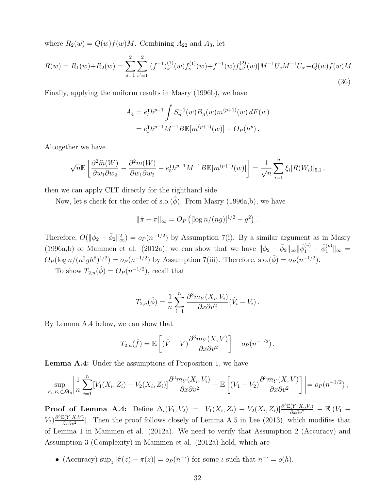where  $R_2(w) = Q(w)f(w)M$ . Combining  $A_{22}$  and  $A_3$ , let

$$
R(w) = R_1(w) + R_2(w) = \sum_{s=1}^2 \sum_{s'=1}^2 [(f^{-1})_{s'}^{(1)}(w) f_s^{(1)}(w) + f^{-1}(w) f_{ss'}^{(2)}(w)] M^{-1} U_s M^{-1} U_{s'} + Q(w) f(w) M.
$$
\n(36)

Finally, applying the uniform results in Masry (1996b), we have

$$
A_4 = e_t^{\mathsf{T}} h^{p-1} \int S_n^{-1}(w) B_n(w) m^{(p+1)}(w) dF(w)
$$
  
=  $e_t^{\mathsf{T}} h^{p-1} M^{-1} B \mathbb{E}[m^{(p+1)}(w)] + O_P(h^p).$ 

Altogether we have

$$
\sqrt{n}\mathbb{E}\left[\frac{\partial^2 \widehat{m}(W)}{\partial w_1 \partial w_2} - \frac{\partial^2 m(W)}{\partial w_1 \partial w_2} - e_5^{\mathsf{T}} h^{p-1} M^{-1} B \mathbb{E}[m^{(p+1)}(w)]\right] = \frac{1}{\sqrt{n}} \sum_{i=1}^n \xi_i[R(W_i)]_{5,1},
$$

then we can apply CLT directly for the righthand side.

Now, let's check for the order of s.o. $(\hat{\phi})$ . From Masry (1996a,b), we have

$$
\|\hat{\pi} - \pi\|_{\infty} = O_P\left( [\log n/(ng)]^{1/2} + g^2 \right) .
$$

Therefore,  $O(\|\hat{\phi}_2 - \bar{\phi}_2\|_{\infty}^2) = o_P(n^{-1/2})$  by Assumption 7(i). By a similar argument as in Masry (1996a,b) or Mammen et al. (2012a), we can show that we have  $\|\hat{\phi}_2 - \bar{\phi}_2\|_{\infty} \|\hat{\phi}_1^{(v)} - \bar{\phi}_1^{(v)}\|_{\infty} =$  $O_P(\log n/(n^2gh^8)^{1/2}) = o_P(n^{-1/2})$  by Assumption 7(iii). Therefore, s.o. $(\hat{\phi}) = o_P(n^{-1/2})$ .

To show  $T_{2,n}(\hat{\phi}) = O_P(n^{-1/2})$ , recall that

$$
T_{2,n}(\hat{\phi}) = \frac{1}{n} \sum_{i=1}^{n} \frac{\partial^3 m_Y(X_i, V_i)}{\partial x \partial v^2} (\hat{V}_i - V_i).
$$

By Lemma A.4 below, we can show that

$$
T_{2,n}(\hat{f}) = \mathbb{E}\left[ (\hat{V} - V) \frac{\partial^3 m_Y(X, V)}{\partial x \partial v^2} \right] + o_P(n^{-1/2}).
$$

Lemma A.4: Under the assumptions of Proposition 1, we have

$$
\sup_{V_1,V_2\in\bar{\mathcal{M}}_n}\left|\frac{1}{n}\sum_{i=1}^n[V_1(X_i,Z_i)-V_2(X_i,Z_i)]\frac{\partial^3m_Y(X_i,V_i)}{\partial x\partial v^2}-\mathbb{E}\left[(V_1-V_2)\frac{\partial^3m_Y(X,V)}{\partial x\partial v^2}\right]\right|=o_P(n^{-1/2}),
$$

**Proof of Lemma A.4:** Define  $\Delta_i(V_1, V_2) = [V_1(X_i, Z_i) - V_2(X_i, Z_i)] \frac{\partial^3 \mathbb{E}(Y_i | X_i, V_i)}{\partial x \partial v^2} - \mathbb{E}[(V_1 - V_2(X_i, Z_i)] \frac{\partial^3 \mathbb{E}(Y_i | X_i, V_i)}{\partial x \partial v^2}]$  $V_2$ ) $\frac{\partial^3 \mathbb{E}(Y|X,V)}{\partial x \partial y^2}$  $\frac{\partial \{Y|X,V\}}{\partial x \partial v^2}$ . Then the proof follows closely of Lemma A.5 in Lee (2013), which modifies that of Lemma 1 in Mammen et al. (2012a). We need to verify that Assumption 2 (Accuracy) and Assumption 3 (Complexity) in Mammen et al. (2012a) hold, which are

• (Accuracy)  $\sup_z |\hat{\pi}(z) - \pi(z)| = o_P(n^{-\iota})$  for some  $\iota$  such that  $n^{-\iota} = o(h)$ .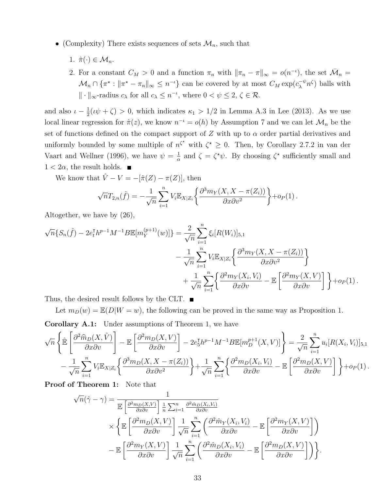- (Complexity) There exists sequences of sets  $\mathcal{M}_n$ , such that
	- 1.  $\hat{\pi}(\cdot) \in \mathcal{M}_n$ .
	- 2. For a constant  $C_M > 0$  and a function  $\pi_n$  with  $\|\pi_n \pi\|_{\infty} = o(n^{-\iota})$ , the set  $\bar{\mathcal{M}}_n =$  $\mathcal{M}_n \cap \{\pi^* : ||\pi^* - \pi_n||_{\infty} \leq n^{-\iota}\}\$ can be covered by at most  $C_M \exp(c_{\lambda}^{-\psi} n^{\zeta})$  balls with  $\|\cdot\|_{\infty}$ -radius  $c_{\lambda}$  for all  $c_{\lambda} \leq n^{-\iota}$ , where  $0 < \psi \leq 2, \zeta \in \mathcal{R}$ .

and also  $\iota - \frac{1}{2}$  $\frac{1}{2}(\iota\psi + \zeta) > 0$ , which indicates  $\kappa_1 > 1/2$  in Lemma A.3 in Lee (2013). As we use local linear regression for  $\hat{\pi}(z)$ , we know  $n^{-i} = o(h)$  by Assumption 7 and we can let  $\mathcal{M}_n$  be the set of functions defined on the compact support of Z with up to  $\alpha$  order partial derivatives and uniformly bounded by some multiple of  $n^{\zeta^*}$  with  $\zeta^* \geq 0$ . Then, by Corollary 2.7.2 in van der Vaart and Wellner (1996), we have  $\psi = \frac{1}{\alpha}$  $\frac{1}{\alpha}$  and  $\zeta = \zeta^* \psi$ . By choosing  $\zeta^*$  sufficiently small and  $1 < 2\alpha$ , the result holds.  $\blacksquare$ 

We know that  $\hat{V} - V = -[\hat{\pi}(Z) - \pi(Z)]$ , then

$$
\sqrt{n}T_{2,n}(\hat{f}) = -\frac{1}{\sqrt{n}}\sum_{i=1}^n V_i \mathbb{E}_{X|Z_i}\left\{\frac{\partial^3 m_Y(X,X-\pi(Z_i))}{\partial x \partial v^2}\right\} + o_P(1).
$$

Altogether, we have by (26),

$$
\sqrt{n}\{S_n(\hat{f}) - 2e_t^{\mathrm{T}}h^{p-1}M^{-1}B\mathbb{E}[m_Y^{(p+1)}(w)]\} = \frac{2}{\sqrt{n}}\sum_{i=1}^n\xi_i[R(W_i)]_{5,1} - \frac{1}{\sqrt{n}}\sum_{i=1}^nV_i\mathbb{E}_{X|Z_i}\left\{\frac{\partial^3m_Y(X, X - \pi(Z_i))}{\partial x\partial v^2}\right\} + \frac{1}{\sqrt{n}}\sum_{i=1}^n\left\{\frac{\partial^2m_Y(X_i, V_i)}{\partial x\partial v} - \mathbb{E}\left[\frac{\partial^2m_Y(X, V)}{\partial x\partial v}\right]\right\} + o_P(1).
$$

Thus, the desired result follows by the CLT.  $\blacksquare$ 

Let  $m_D(w) = \mathbb{E}(D|W = w)$ , the following can be proved in the same way as Proposition 1.

Corollary A.1: Under assumptions of Theorem 1, we have

$$
\sqrt{n}\left\{\hat{\mathbb{E}}\left[\frac{\partial^2 \hat{m}_D(X,\hat{V})}{\partial x \partial v}\right] - \mathbb{E}\left[\frac{\partial^2 m_D(X,V)}{\partial x \partial v}\right] - 2e_5^{\mathsf{T}}h^{p-1}M^{-1}B \mathbb{E}[m_D^{p+1}(X,V)]\right\} = \frac{2}{\sqrt{n}}\sum_{i=1}^n u_i[R(X_i,V_i)]_{5,1} - \frac{1}{\sqrt{n}}\sum_{i=1}^n V_i \mathbb{E}_{X|Z_i}\left\{\frac{\partial^3 m_D(X,X-\pi(Z_i))}{\partial x \partial v^2}\right\} + \frac{1}{\sqrt{n}}\sum_{i=1}^n \left\{\frac{\partial^2 m_D(X_i,V_i)}{\partial x \partial v} - \mathbb{E}\left[\frac{\partial^2 m_D(X,V)}{\partial x \partial v}\right]\right\} + o_P(1).
$$

Proof of Theorem 1: Note that

$$
\sqrt{n}(\hat{\gamma} - \gamma) = \frac{1}{\mathbb{E}\left[\frac{\partial^2 m_D(X, V)}{\partial x \partial v}\right] \frac{1}{n} \sum_{i=1}^n \frac{\partial^2 \hat{m}_D(X_i, V_i)}{\partial x \partial v}} \times \left\{ \mathbb{E}\left[\frac{\partial^2 m_D(X, V)}{\partial x \partial v}\right] \frac{1}{\sqrt{n}} \sum_{i=1}^n \left(\frac{\partial^2 \hat{m}_Y(X_i, V_i)}{\partial x \partial v} - \mathbb{E}\left[\frac{\partial^2 m_Y(X, V)}{\partial x \partial v}\right]\right) - \mathbb{E}\left[\frac{\partial^2 m_Y(X, V)}{\partial x \partial v}\right] \frac{1}{\sqrt{n}} \sum_{i=1}^n \left(\frac{\partial^2 \hat{m}_D(X_i, V_i)}{\partial x \partial v} - \mathbb{E}\left[\frac{\partial^2 m_D(X, V)}{\partial x \partial v}\right]\right) \right\}.
$$